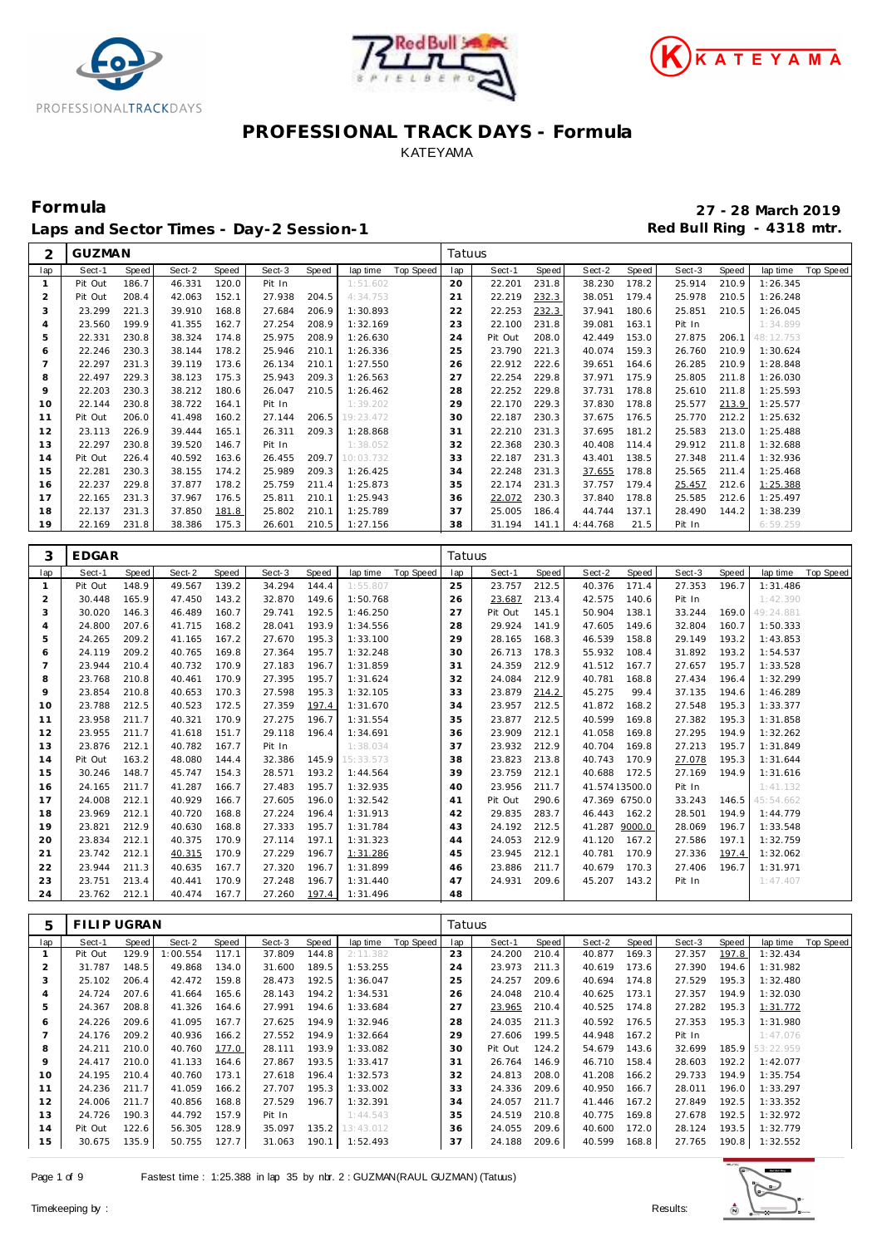





 $\Gamma$ 

Laps and Sector Times - Day-2 Session-1 **Red Bull Ring - 4318 mtr.** 

**Formula 27 - 28 March 2019**

| GUZMAN<br>2<br>latuus                                                                                                                                                                                                                      |                                                            |
|--------------------------------------------------------------------------------------------------------------------------------------------------------------------------------------------------------------------------------------------|------------------------------------------------------------|
| lap<br>Sect-1<br>Sect-2<br>Sect-3<br><b>Top Speed</b><br>Sect-1<br>Sect-2<br>Speed<br>Speed<br>Speed<br>Speed<br>lap time<br>lap<br>Speed                                                                                                  | Sect-3<br>Speed<br>lap time<br><b>Top Speed</b>            |
| 20<br>22.201<br>178.2<br>Pit Out<br>186.7<br>46.331<br>120.0<br>Pit In<br>231.8<br>38.230<br>$\mathbf{1}$<br>1:51.602                                                                                                                      | 25.914<br>210.9<br>1:26.345                                |
| $\overline{2}$<br>Pit Out<br>208.4<br>42.063<br>152.1<br>27.938<br>204.5<br>21<br>22.219<br>232.3<br>38.051<br>179.4<br>4:34.753                                                                                                           | 25.978<br>210.5<br>1:26.248                                |
| 232.3<br>3<br>23.299<br>221.3<br>39.910<br>168.8<br>27.684<br>206.9<br>1:30.893<br>22<br>22.253<br>37.941<br>180.6                                                                                                                         | 25.851<br>210.5<br>1:26.045                                |
| 199.9<br>23.560<br>41.355<br>162.7<br>27.254<br>208.9<br>1:32.169<br>23<br>22.100<br>231.8<br>39.081<br>163.1<br>$\overline{4}$                                                                                                            | 1:34.899<br>Pit In                                         |
| 208.9<br>5<br>22.331<br>230.8<br>38.324<br>174.8<br>25.975<br>1:26.630<br>24<br>Pit Out<br>208.0<br>42.449<br>153.0                                                                                                                        | 27.875<br>206.1<br>48:12.753                               |
| 230.3<br>178.2<br>210.1<br>25<br>23.790<br>221.3<br>159.3<br>6<br>22.246<br>38.144<br>25.946<br>1:26.336<br>40.074                                                                                                                         | 210.9<br>1:30.624<br>26.760                                |
| 22.297<br>231.3<br>210.1<br>22.912<br>222.6<br>$\overline{7}$<br>39.119<br>173.6<br>26.134<br>1:27.550<br>26<br>39.651<br>164.6                                                                                                            | 210.9<br>26.285<br>1:28.848                                |
| 22.497<br>229.3<br>38.123<br>175.3<br>25.943<br>209.3<br>27<br>22.254<br>229.8<br>37.971<br>175.9<br>8<br>1:26.563<br>9<br>22.203                                                                                                          | 25.805<br>211.8<br>1:26.030                                |
| 230.3<br>38.212<br>180.6<br>26.047<br>210.5<br>28<br>22.252<br>229.8<br>37.731<br>178.8<br>1:26.462<br>22.144<br>230.8<br>38.722<br>164.1<br>1:39.202<br>29<br>22.170<br>229.3<br>37.830<br>178.8<br>10<br>Pit In                          | 25.610<br>211.8<br>1:25.593<br>25.577<br>213.9<br>1:25.577 |
| 11<br>Pit Out<br>206.0<br>41.498<br>160.2<br>27.144<br>206.5<br>19:23.472<br>30<br>22.187<br>230.3<br>37.675<br>176.5                                                                                                                      | 25.770<br>212.2<br>1:25.632                                |
|                                                                                                                                                                                                                                            |                                                            |
| 12<br>23.113<br>226.9<br>39.444<br>165.1<br>26.311<br>209.3<br>31<br>22.210<br>231.3<br>37.695<br>181.2<br>1:28.868                                                                                                                        | 25.583<br>213.0<br>1:25.488                                |
| 230.8<br>32<br>230.3<br>13<br>22.297<br>39.520<br>146.7<br>Pit In<br>1:38.052<br>22.368<br>40.408<br>114.4                                                                                                                                 | 29.912<br>211.8<br>1:32.688                                |
| 14<br>Pit Out<br>226.4<br>40.592<br>163.6<br>26.455<br>209.7<br>33<br>22.187<br>231.3<br>43.401<br>138.5<br>10:03.732<br>15                                                                                                                | 27.348<br>211.4<br>1:32.936                                |
| 22.281<br>230.3<br>38.155<br>174.2<br>25.989<br>209.3<br>1:26.425<br>34<br>22.248<br>231.3<br>37.655<br>178.8                                                                                                                              | 25.565<br>211.4<br>1:25.468                                |
| 22.237<br>229.8<br>37.877<br>178.2<br>25.759<br>211.4<br>35<br>22.174<br>231.3<br>37.757<br>179.4<br>16<br>1:25.873<br>22.072<br>17<br>22.165<br>231.3<br>37.967<br>176.5<br>25.811<br>210.1<br>1:25.943<br>36<br>230.3<br>37.840<br>178.8 | 25.457<br>212.6<br>1:25.388<br>25.585<br>212.6<br>1:25.497 |
| 22.137<br>231.3<br>37.850<br>210.1<br>37<br>137.1<br>18<br>181.8<br>25.802<br>1:25.789<br>25.005<br>186.4<br>44.744                                                                                                                        | 28.490<br>144.2<br>1:38.239                                |
| 19<br>175.3<br>210.5<br>31.194<br>22.169<br>231.8<br>38.386<br>26.601<br>1:27.156<br>38<br>4:44.768<br>21.5<br>141.1                                                                                                                       | Pit In<br>6:59.259                                         |
|                                                                                                                                                                                                                                            |                                                            |
|                                                                                                                                                                                                                                            |                                                            |
| 3<br>EDGAR<br>Tatuus                                                                                                                                                                                                                       |                                                            |
| Speed<br><b>Top Speed</b><br>Sect-2<br><b>Speed</b><br>Sect-1<br>Speed<br>Sect-2<br>Speed<br>Sect-3<br>lap time<br>Sect-1<br>Speed<br>lap<br>lap                                                                                           | Sect-3<br>Speed<br>lap time<br><b>Top Speed</b>            |
| 139.2<br>171.4<br>Pit Out<br>148.9<br>49.567<br>34.294<br>144.4<br>1:55.807<br>25<br>23.757<br>212.5<br>40.376<br>$\mathbf{1}$                                                                                                             | 27.353<br>196.7<br>1:31.486                                |
| $\overline{a}$<br>165.9<br>143.2<br>26<br>213.4<br>30.448<br>47.450<br>32.870<br>149.6<br>1:50.768<br>23.687<br>42.575<br>140.6                                                                                                            | 1:42.390<br>Pit In                                         |
| 3<br>192.5<br>27<br>30.020<br>146.3<br>46.489<br>160.7<br>29.741<br>1:46.250<br>Pit Out<br>145.1<br>50.904<br>138.1                                                                                                                        | 169.0<br>33.244<br>49:24.881                               |
| 24.800<br>207.6<br>168.2<br>28.041<br>193.9<br>29.924<br>141.9<br>149.6<br>$\overline{4}$<br>41.715<br>1:34.556<br>28<br>47.605<br>5<br>29                                                                                                 | 32.804<br>160.7<br>1:50.333                                |
| 24.265<br>209.2<br>167.2<br>195.3<br>28.165<br>168.3<br>46.539<br>158.8<br>41.165<br>27.670<br>1:33.100<br>24.119<br>209.2<br>40.765<br>169.8<br>27.364<br>195.7<br>1:32.248<br>30<br>26.713<br>178.3<br>55.932<br>108.4                   | 29.149<br>193.2<br>1:43.853                                |
| 6                                                                                                                                                                                                                                          |                                                            |
|                                                                                                                                                                                                                                            | 31.892<br>193.2<br>1:54.537                                |
| $\overline{7}$<br>23.944<br>210.4<br>40.732<br>170.9<br>27.183<br>196.7<br>1:31.859<br>31<br>24.359<br>212.9<br>41.512<br>167.7                                                                                                            | 27.657<br>195.7<br>1:33.528                                |
| 8<br>170.9<br>27.395<br>195.7<br>32<br>212.9<br>168.8<br>23.768<br>210.8<br>40.461<br>1:31.624<br>24.084<br>40.781                                                                                                                         | 1:32.299<br>27.434<br>196.4                                |
| $\circ$<br>99.4<br>23.854<br>210.8<br>40.653<br>170.3<br>27.598<br>195.3<br>1:32.105<br>33<br>23.879<br>214.2<br>45.275                                                                                                                    | 37.135<br>194.6<br>1:46.289                                |
| 172.5<br>34<br>168.2<br>10<br>23.788<br>212.5<br>40.523<br>27.359<br>197.4<br>1:31.670<br>23.957<br>212.5<br>41.872                                                                                                                        | 195.3<br>27.548<br>1:33.377                                |
| 23.958<br>211.7<br>170.9<br>35<br>212.5<br>169.8<br>11<br>40.321<br>27.275<br>196.7<br>1:31.554<br>23.877<br>40.599                                                                                                                        | 195.3<br>27.382<br>1:31.858                                |
| 12<br>23.955<br>211.7<br>151.7<br>29.118<br>196.4<br>36<br>23.909<br>212.1<br>41.058<br>169.8<br>41.618<br>1:34.691                                                                                                                        | 27.295<br>194.9<br>1:32.262                                |
| 23.876<br>40.782<br>23.932<br>212.9<br>169.8<br>13<br>212.1<br>167.7<br>Pit In<br>1:38.034<br>37<br>40.704                                                                                                                                 | 27.213<br>195.7<br>1:31.849                                |
| Pit Out<br>145.9<br>38<br>213.8<br>170.9<br>14<br>163.2<br>48.080<br>144.4<br>32.386<br>15:33.573<br>23.823<br>40.743                                                                                                                      | 27.078<br>195.3<br>1:31.644                                |
| 193.2<br>39<br>23.759<br>172.5<br>15<br>30.246<br>148.7<br>45.747<br>154.3<br>28.571<br>1:44.564<br>212.1<br>40.688                                                                                                                        | 27.169<br>194.9<br>1:31.616                                |
| 211.7<br>41.287<br>166.7<br>27.483<br>195.7<br>1:32.935<br>23.956<br>211.7<br>41.57413500.0<br>16<br>24.165<br>40                                                                                                                          | Pit In<br>1:41.132                                         |
| 17<br>24.008<br>212.1<br>40.929<br>166.7<br>27.605<br>196.0<br>1:32.542<br>Pit Out<br>290.6<br>47.369 6750.0<br>41                                                                                                                         | 33.243<br>146.5<br>45:54.662                               |
| 23.969<br>212.1<br>40.720<br>168.8<br>27.224<br>196.4<br>1:31.913<br>42<br>29.835<br>283.7<br>46.443<br>162.2<br>18<br>19<br>43                                                                                                            | 28.501<br>194.9<br>1:44.779<br>196.7                       |
| 212.9<br>23.821<br>40.630<br>168.8<br>27.333<br>195.7<br>1:31.784<br>24.192<br>212.5<br>41.287 9000.0<br>20<br>212.1<br>44                                                                                                                 | 28.069<br>1:33.548<br>197.1                                |
| 23.834<br>40.375<br>170.9<br>197.1<br>24.053<br>212.9<br>41.120<br>167.2<br>27.114<br>1:31.323<br>212.1<br>40.315<br>170.9<br>170.9<br>21<br>23.742<br>27.229<br>196.7<br>1:31.286<br>45<br>23.945<br>212.1<br>40.781                      | 27.586<br>1:32.759<br>27.336<br>197.4<br>1:32.062          |
| 23.944                                                                                                                                                                                                                                     | 196.7                                                      |
| 22<br>211.3<br>40.635<br>167.7<br>27.320<br>196.7<br>1:31.899<br>23.886<br>211.7<br>40.679<br>170.3<br>46<br>23<br>23.751<br>213.4<br>40.441<br>170.9<br>27.248<br>196.7<br>1:31.440<br>47<br>24.931<br>209.6<br>45.207<br>143.2           | 27.406<br>1:31.971<br>Pit In<br>1:47.407                   |
| 23.762<br>212.1<br>40.474<br>167.7<br>27.260<br>197.4<br>48<br>24<br>1:31.496                                                                                                                                                              |                                                            |
|                                                                                                                                                                                                                                            |                                                            |
|                                                                                                                                                                                                                                            |                                                            |
| <b>FILIP UGRAN</b><br>Tatuus<br>5<br>Sect-1<br>Speed<br>Sect-2<br>Speed<br>Sect-3<br>Speed<br>Top Speed<br>Sect-1<br>Sect-2<br>Speed<br>lap<br>lap time<br>lap<br>Speed                                                                    | Sect-3<br>Speed<br>lap time<br>Top Speed                   |

 31.787 148.5 49.868 134.0 31.600 189.5 1:53.255 25.102 206.4 42.472 159.8 28.473 192.5 1:36.047 24.724 207.6 41.664 165.6 28.143 194.2 1:34.531 24.367 208.8 41.326 164.6 27.991 194.6 1:33.684 24.226 209.6 41.095 167.7 27.625 194.9 1:32.946 24.176 209.2 40.936 166.2 27.552 194.9 1:32.664 24.211 210.0 40.760 177.0 28.111 193.9 1:33.082 24.417 210.0 41.133 164.6 27.867 193.5 1:33.417 24.195 210.4 40.760 173.1 27.618 196.4 1:32.573 24.236 211.7 41.059 166.2 27.707 195.3 1:33.002 24.006 211.7 40.856 168.8 27.529 196.7 1:32.391 24.726 190.3 44.792 157.9 Pit In 1:44.543 Pit Out 122.6 56.305 128.9 35.097 135.2 13:43.012 30.675 135.9 50.755 127.7 31.063 190.1 1:52.493



23.973 211.3 40.619 173.6 27.390 194.6 1:31.982

 24.048 210.4 40.625 173.1 27.357 194.9 1:32.030 23.965 210.4 40.525 174.8 27.282 195.3 1:31.772 24.035 211.3 40.592 176.5 27.353 195.3 1:31.980 27.606 199.5 44.948 167.2 Pit In 1:47.076 Pit Out 124.2 54.679 143.6 32.699 185.9 53:22.959 26.764 146.9 46.710 158.4 28.603 192.2 1:42.077 24.813 208.0 41.208 166.2 29.733 194.9 1:35.754 24.336 209.6 40.950 166.7 28.011 196.0 1:33.297 24.057 211.7 41.446 167.2 27.849 192.5 1:33.352 24.519 210.8 40.775 169.8 27.678 192.5 1:32.972 24.055 209.6 40.600 172.0 28.124 193.5 1:32.779 24.188 209.6 40.599 168.8 27.765 190.8 1:32.552

209.6 40.694 174.8 27.529 195.3 1:32.480<br>210.4 40.625 173.1 27.357 194.9 1:32.030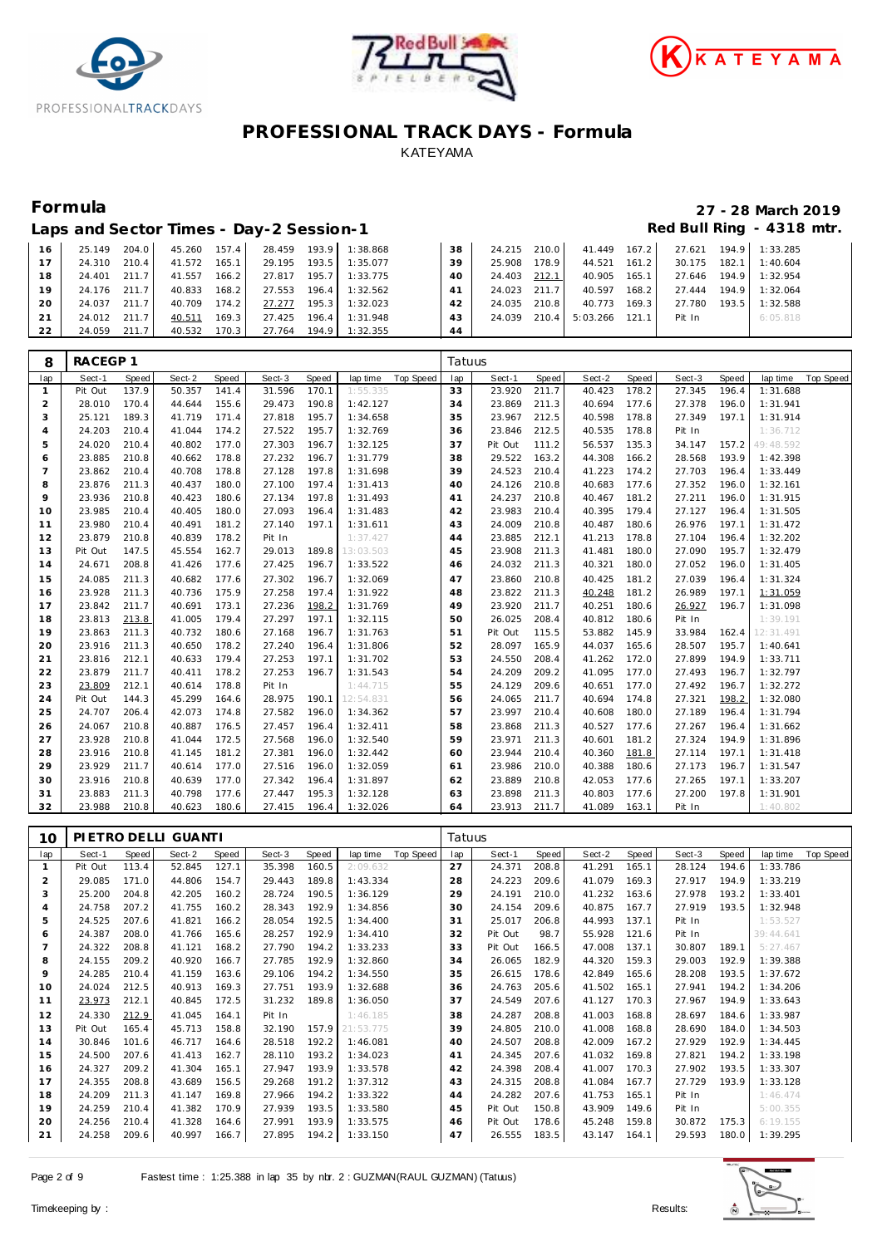





|       | Laps and Sector Times - Day-2 Session-1 |       |              |         |        |         |          |    |              |       |                  |       |        |       | Red Bull Ring - 4318 mtr. |
|-------|-----------------------------------------|-------|--------------|---------|--------|---------|----------|----|--------------|-------|------------------|-------|--------|-------|---------------------------|
| 16    | 25.149                                  | 204.0 | 45.260 157.4 |         | 28.459 | 193.9   | 1:38.868 | 38 | 24.215 210.0 |       | 41.449           | 167.2 | 27.621 | 194.9 | 1:33.285                  |
| $-17$ | 24.310                                  | 210.4 | 41.572       | 165.1   | 29.195 | 193.5   | 1:35.077 | 39 | 25.908       | 178.9 | 44.521 161.2     |       | 30.175 | 182.1 | 1:40.604                  |
| 18    | 24.401                                  | 211.7 | 41.557       | 166.2   | 27.817 | 195.7   | 1:33.775 | 40 | 24.403       | 212.1 | 40.905           | 165.1 | 27.646 | 194.9 | 1:32.954                  |
| 19    | 24.176                                  | 211.7 | 40.833       | 168.2   | 27.553 | 196.4   | 1:32.562 | 41 | 24.023 211.7 |       | 40.597           | 168.2 | 27.444 | 194.9 | 1:32.064                  |
| 20    | 24.037                                  | 211.7 | 40.709       | 174.2   | 27.277 | 195.3   | 1:32.023 | 42 | 24.035       | 210.8 | 40.773           | 169.3 | 27.780 | 193.5 | 1:32.588                  |
| 21    | 24.012                                  | 211.7 | 40.511       | 169.3   | 27.425 | $196.4$ | 1:31.948 | 43 | 24.039       | 210.4 | $5:03.266$ 121.1 |       | Pit In |       | 6:05.818                  |
| 22    | 24.059                                  | 211.7 | 40.532       | $170.3$ | 27.764 | 194.9   | 1:32.355 | 44 |              |       |                  |       |        |       |                           |

| 8              | RACEGP 1 |       |        |       |        |       |           |           | Tatuus |         |       |        |       |        |       |           |           |
|----------------|----------|-------|--------|-------|--------|-------|-----------|-----------|--------|---------|-------|--------|-------|--------|-------|-----------|-----------|
| lap            | Sect-1   | Speed | Sect-2 | Speed | Sect-3 | Speed | lap time  | Top Speed | lap    | Sect-1  | Speed | Sect-2 | Speed | Sect-3 | Speed | lap time  | Top Speed |
| $\mathbf{1}$   | Pit Out  | 137.9 | 50.357 | 141.4 | 31.596 | 170.1 | 1:55.335  |           | 33     | 23.920  | 211.7 | 40.423 | 178.2 | 27.345 | 196.4 | 1:31.688  |           |
| $\overline{2}$ | 28.010   | 170.4 | 44.644 | 155.6 | 29.473 | 190.8 | 1:42.127  |           | 34     | 23.869  | 211.3 | 40.694 | 177.6 | 27.378 | 196.0 | 1:31.941  |           |
| 3              | 25.121   | 189.3 | 41.719 | 171.4 | 27.818 | 195.7 | 1:34.658  |           | 35     | 23.967  | 212.5 | 40.598 | 178.8 | 27.349 | 197.1 | 1:31.914  |           |
| $\overline{4}$ | 24.203   | 210.4 | 41.044 | 174.2 | 27.522 | 195.7 | 1:32.769  |           | 36     | 23.846  | 212.5 | 40.535 | 178.8 | Pit In |       | 1:36.712  |           |
| 5              | 24.020   | 210.4 | 40.802 | 177.0 | 27.303 | 196.7 | 1:32.125  |           | 37     | Pit Out | 111.2 | 56.537 | 135.3 | 34.147 | 157.2 | 49:48.592 |           |
| 6              | 23.885   | 210.8 | 40.662 | 178.8 | 27.232 | 196.7 | 1:31.779  |           | 38     | 29.522  | 163.2 | 44.308 | 166.2 | 28.568 | 193.9 | 1:42.398  |           |
| $\overline{7}$ | 23.862   | 210.4 | 40.708 | 178.8 | 27.128 | 197.8 | 1:31.698  |           | 39     | 24.523  | 210.4 | 41.223 | 174.2 | 27.703 | 196.4 | 1:33.449  |           |
| 8              | 23.876   | 211.3 | 40.437 | 180.0 | 27.100 | 197.4 | 1:31.413  |           | 40     | 24.126  | 210.8 | 40.683 | 177.6 | 27.352 | 196.0 | 1:32.161  |           |
| 9              | 23.936   | 210.8 | 40.423 | 180.6 | 27.134 | 197.8 | 1:31.493  |           | 41     | 24.237  | 210.8 | 40.467 | 181.2 | 27.211 | 196.0 | 1:31.915  |           |
| 10             | 23.985   | 210.4 | 40.405 | 180.0 | 27.093 | 196.4 | 1:31.483  |           | 42     | 23.983  | 210.4 | 40.395 | 179.4 | 27.127 | 196.4 | 1:31.505  |           |
| 11             | 23.980   | 210.4 | 40.491 | 181.2 | 27.140 | 197.1 | 1:31.611  |           | 43     | 24.009  | 210.8 | 40.487 | 180.6 | 26.976 | 197.1 | 1:31.472  |           |
| 12             | 23.879   | 210.8 | 40.839 | 178.2 | Pit In |       | 1:37.427  |           | 44     | 23.885  | 212.1 | 41.213 | 178.8 | 27.104 | 196.4 | 1:32.202  |           |
| 13             | Pit Out  | 147.5 | 45.554 | 162.7 | 29.013 | 189.8 | 13:03.503 |           | 45     | 23.908  | 211.3 | 41.481 | 180.0 | 27.090 | 195.7 | 1:32.479  |           |
| 14             | 24.671   | 208.8 | 41.426 | 177.6 | 27.425 | 196.7 | 1:33.522  |           | 46     | 24.032  | 211.3 | 40.321 | 180.0 | 27.052 | 196.0 | 1:31.405  |           |
| 15             | 24.085   | 211.3 | 40.682 | 177.6 | 27.302 | 196.7 | 1:32.069  |           | 47     | 23.860  | 210.8 | 40.425 | 181.2 | 27.039 | 196.4 | 1:31.324  |           |
| 16             | 23.928   | 211.3 | 40.736 | 175.9 | 27.258 | 197.4 | 1:31.922  |           | 48     | 23.822  | 211.3 | 40.248 | 181.2 | 26.989 | 197.1 | 1:31.059  |           |
| 17             | 23.842   | 211.7 | 40.691 | 173.1 | 27.236 | 198.2 | 1:31.769  |           | 49     | 23.920  | 211.7 | 40.251 | 180.6 | 26.927 | 196.7 | 1:31.098  |           |
| 18             | 23.813   | 213.8 | 41.005 | 179.4 | 27.297 | 197.1 | 1:32.115  |           | 50     | 26.025  | 208.4 | 40.812 | 180.6 | Pit In |       | 1:39.191  |           |
| 19             | 23.863   | 211.3 | 40.732 | 180.6 | 27.168 | 196.7 | 1:31.763  |           | 51     | Pit Out | 115.5 | 53.882 | 145.9 | 33.984 | 162.4 | 12:31.491 |           |
| 20             | 23.916   | 211.3 | 40.650 | 178.2 | 27.240 | 196.4 | 1:31.806  |           | 52     | 28.097  | 165.9 | 44.037 | 165.6 | 28.507 | 195.7 | 1:40.641  |           |
| 21             | 23.816   | 212.1 | 40.633 | 179.4 | 27.253 | 197.1 | 1:31.702  |           | 53     | 24.550  | 208.4 | 41.262 | 172.0 | 27.899 | 194.9 | 1:33.711  |           |
| 22             | 23.879   | 211.7 | 40.411 | 178.2 | 27.253 | 196.7 | 1:31.543  |           | 54     | 24.209  | 209.2 | 41.095 | 177.0 | 27.493 | 196.7 | 1:32.797  |           |
| 23             | 23.809   | 212.1 | 40.614 | 178.8 | Pit In |       | 1:44.715  |           | 55     | 24.129  | 209.6 | 40.651 | 177.0 | 27.492 | 196.7 | 1:32.272  |           |
| 24             | Pit Out  | 144.3 | 45.299 | 164.6 | 28.975 | 190.1 | 12:54.831 |           | 56     | 24.065  | 211.7 | 40.694 | 174.8 | 27.321 | 198.2 | 1:32.080  |           |
| 25             | 24.707   | 206.4 | 42.073 | 174.8 | 27.582 | 196.0 | 1:34.362  |           | 57     | 23.997  | 210.4 | 40.608 | 180.0 | 27.189 | 196.4 | 1:31.794  |           |
| 26             | 24.067   | 210.8 | 40.887 | 176.5 | 27.457 | 196.4 | 1:32.411  |           | 58     | 23.868  | 211.3 | 40.527 | 177.6 | 27.267 | 196.4 | 1:31.662  |           |
| 27             | 23.928   | 210.8 | 41.044 | 172.5 | 27.568 | 196.0 | 1:32.540  |           | 59     | 23.971  | 211.3 | 40.601 | 181.2 | 27.324 | 194.9 | 1:31.896  |           |
| 28             | 23.916   | 210.8 | 41.145 | 181.2 | 27.381 | 196.0 | 1:32.442  |           | 60     | 23.944  | 210.4 | 40.360 | 181.8 | 27.114 | 197.1 | 1:31.418  |           |
| 29             | 23.929   | 211.7 | 40.614 | 177.0 | 27.516 | 196.0 | 1:32.059  |           | 61     | 23.986  | 210.0 | 40.388 | 180.6 | 27.173 | 196.7 | 1:31.547  |           |
| 30             | 23.916   | 210.8 | 40.639 | 177.0 | 27.342 | 196.4 | 1:31.897  |           | 62     | 23.889  | 210.8 | 42.053 | 177.6 | 27.265 | 197.1 | 1:33.207  |           |
| 31             | 23.883   | 211.3 | 40.798 | 177.6 | 27.447 | 195.3 | 1:32.128  |           | 63     | 23.898  | 211.3 | 40.803 | 177.6 | 27.200 | 197.8 | 1:31.901  |           |
| 32             | 23.988   | 210.8 | 40.623 | 180.6 | 27.415 | 196.4 | 1:32.026  |           | 64     | 23.913  | 211.7 | 41.089 | 163.1 | Pit In |       | 1:40.802  |           |

| 10             |         |       | PIETRO DELLI GUANTI |       |        |       |           |           | Tatuus |         |       |        |       |        |       |           |           |
|----------------|---------|-------|---------------------|-------|--------|-------|-----------|-----------|--------|---------|-------|--------|-------|--------|-------|-----------|-----------|
| lap            | Sect-1  | Speed | Sect-2              | Speed | Sect-3 | Speed | lap time  | Top Speed | lap    | Sect-1  | Speed | Sect-2 | Speed | Sect-3 | Speed | lap time  | Top Speed |
|                | Pit Out | 113.4 | 52.845              | 127.1 | 35.398 | 160.5 | 2:09.632  |           | 27     | 24.371  | 208.8 | 41.291 | 165.1 | 28.124 | 194.6 | 1:33.786  |           |
| 2              | 29.085  | 171.0 | 44.806              | 154.7 | 29.443 | 189.8 | 1:43.334  |           | 28     | 24.223  | 209.6 | 41.079 | 169.3 | 27.917 | 194.9 | 1:33.219  |           |
| 3              | 25.200  | 204.8 | 42.205              | 160.2 | 28.724 | 190.5 | 1:36.129  |           | 29     | 24.191  | 210.0 | 41.232 | 163.6 | 27.978 | 193.2 | 1:33.401  |           |
| $\overline{4}$ | 24.758  | 207.2 | 41.755              | 160.2 | 28.343 | 192.9 | 1:34.856  |           | 30     | 24.154  | 209.6 | 40.875 | 167.7 | 27.919 | 193.5 | 1:32.948  |           |
| 5              | 24.525  | 207.6 | 41.821              | 166.2 | 28.054 | 192.5 | 1:34.400  |           | 31     | 25.017  | 206.8 | 44.993 | 137.1 | Pit In |       | 1:53.527  |           |
| 6              | 24.387  | 208.0 | 41.766              | 165.6 | 28.257 | 192.9 | 1:34.410  |           | 32     | Pit Out | 98.7  | 55.928 | 121.6 | Pit In |       | 39:44.641 |           |
| $\overline{7}$ | 24.322  | 208.8 | 41.121              | 168.2 | 27.790 | 194.2 | 1:33.233  |           | 33     | Pit Out | 166.5 | 47.008 | 137.1 | 30.807 | 189.1 | 5:27.467  |           |
| 8              | 24.155  | 209.2 | 40.920              | 166.7 | 27.785 | 192.9 | 1:32.860  |           | 34     | 26.065  | 182.9 | 44.320 | 159.3 | 29.003 | 192.9 | 1:39.388  |           |
| 9              | 24.285  | 210.4 | 41.159              | 163.6 | 29.106 | 194.2 | 1:34.550  |           | 35     | 26.615  | 178.6 | 42.849 | 165.6 | 28.208 | 193.5 | 1:37.672  |           |
| 10             | 24.024  | 212.5 | 40.913              | 169.3 | 27.751 | 193.9 | 1:32.688  |           | 36     | 24.763  | 205.6 | 41.502 | 165.1 | 27.941 | 194.2 | 1:34.206  |           |
| 11             | 23.973  | 212.1 | 40.845              | 172.5 | 31.232 | 189.8 | 1:36.050  |           | 37     | 24.549  | 207.6 | 41.127 | 170.3 | 27.967 | 194.9 | 1:33.643  |           |
| 12             | 24.330  | 212.9 | 41.045              | 164.1 | Pit In |       | 1:46.185  |           | 38     | 24.287  | 208.8 | 41.003 | 168.8 | 28.697 | 184.6 | 1:33.987  |           |
| 13             | Pit Out | 165.4 | 45.713              | 158.8 | 32.190 | 157.9 | 21:53.775 |           | 39     | 24.805  | 210.0 | 41.008 | 168.8 | 28.690 | 184.0 | 1:34.503  |           |
| 14             | 30.846  | 101.6 | 46.717              | 164.6 | 28.518 | 192.2 | 1:46.081  |           | 40     | 24.507  | 208.8 | 42.009 | 167.2 | 27.929 | 192.9 | 1:34.445  |           |
| 15             | 24.500  | 207.6 | 41.413              | 162.7 | 28.110 | 193.2 | 1:34.023  |           | 41     | 24.345  | 207.6 | 41.032 | 169.8 | 27.821 | 194.2 | 1:33.198  |           |
| 16             | 24.327  | 209.2 | 41.304              | 165.1 | 27.947 | 193.9 | 1:33.578  |           | 42     | 24.398  | 208.4 | 41.007 | 170.3 | 27.902 | 193.5 | 1:33.307  |           |
| 17             | 24.355  | 208.8 | 43.689              | 156.5 | 29.268 | 191.2 | 1:37.312  |           | 43     | 24.315  | 208.8 | 41.084 | 167.7 | 27.729 | 193.9 | 1:33.128  |           |
| 18             | 24.209  | 211.3 | 41.147              | 169.8 | 27.966 | 194.2 | 1:33.322  |           | 44     | 24.282  | 207.6 | 41.753 | 165.1 | Pit In |       | 1:46.474  |           |
| 19             | 24.259  | 210.4 | 41.382              | 170.9 | 27.939 | 193.5 | 1:33.580  |           | 45     | Pit Out | 150.8 | 43.909 | 149.6 | Pit In |       | 5:00.355  |           |
| 20             | 24.256  | 210.4 | 41.328              | 164.6 | 27.991 | 193.9 | 1:33.575  |           | 46     | Pit Out | 178.6 | 45.248 | 159.8 | 30.872 | 175.3 | 6:19.155  |           |
| 21             | 24.258  | 209.6 | 40.997              | 166.7 | 27.895 | 194.2 | 1:33.150  |           | 47     | 26.555  | 183.5 | 43.147 | 164.1 | 29.593 | 180.0 | 1:39.295  |           |

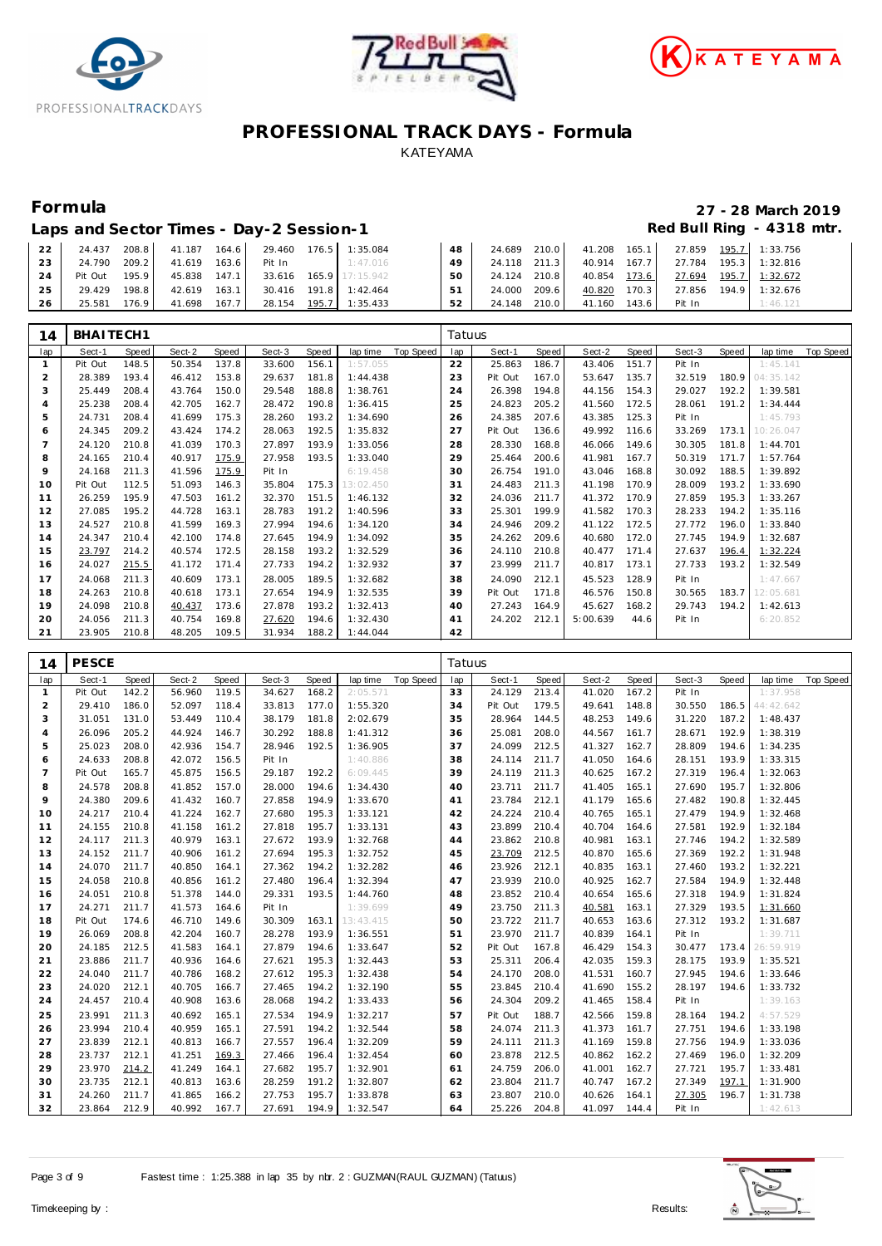





## **Formula 27 - 28 March 2019**

### Laps and Sector Times - Day-2 Session-1 **Red Bull Ring - 4318 mtr.**

| 22 l            |               |       |                     | 24.437 208.8 41.187 164.6 29.460 176.5 1:35.084 |                                     | 48   |              |              |                                                 | 24.689 210.0 41.208 165.1 27.859 195.7 1:33.756 |
|-----------------|---------------|-------|---------------------|-------------------------------------------------|-------------------------------------|------|--------------|--------------|-------------------------------------------------|-------------------------------------------------|
| 23 <sub>1</sub> | 24.790 209.2  |       | 41.619 163.6 Pit In |                                                 | 1:47.016                            | 49   |              |              | 24.118 211.3 40.914 167.7 27.784 195.3 1:32.816 |                                                 |
| 24              | Pit Out 195.9 |       |                     |                                                 | 45.838 147.1 33.616 165.9 17:15.942 | 50 L | 24.124 210.8 |              |                                                 | 40.854 173.6 27.694 195.7 1:32.672              |
| 25              | 29.429        | 198.8 |                     | 42.619 163.1 30.416 191.8 1:42.464              |                                     | 51 L | 24.000 209.6 |              |                                                 | 40.820 170.3 27.856 194.9 1:32.676              |
| 26              | 25.581        | 176.9 |                     | 41.698 167.7 28.154 195.7 1:35.433              |                                     | 52   | 24.148 210.0 | 41.160 143.6 | Pit In                                          | 1:46.121                                        |

| 14  | BHAITECH1 |       |        |       |        |       |           |           | Tatuus |         |       |          |       |        |       |           |           |
|-----|-----------|-------|--------|-------|--------|-------|-----------|-----------|--------|---------|-------|----------|-------|--------|-------|-----------|-----------|
| lap | Sect-1    | Speed | Sect-2 | Speed | Sect-3 | Speed | lap time  | Top Speed | lap    | Sect-1  | Speed | Sect-2   | Speed | Sect-3 | Speed | lap time  | Top Speed |
|     | Pit Out   | 148.5 | 50.354 | 137.8 | 33.600 | 156.1 | 1:57.055  |           | 22     | 25.863  | 186.7 | 43.406   | 151.7 | Pit In |       | 1:45.141  |           |
| 2   | 28.389    | 193.4 | 46.412 | 153.8 | 29.637 | 181.8 | 1:44.438  |           | 23     | Pit Out | 167.0 | 53.647   | 135.7 | 32.519 | 180.9 | 04:35.142 |           |
| 3   | 25.449    | 208.4 | 43.764 | 150.0 | 29.548 | 188.8 | 1:38.761  |           | 24     | 26.398  | 194.8 | 44.156   | 154.3 | 29.027 | 192.2 | 1:39.581  |           |
| 4   | 25.238    | 208.4 | 42.705 | 162.7 | 28.472 | 190.8 | 1:36.415  |           | 25     | 24.823  | 205.2 | 41.560   | 172.5 | 28.061 | 191.2 | 1:34.444  |           |
| 5   | 24.731    | 208.4 | 41.699 | 175.3 | 28.260 | 193.2 | 1:34.690  |           | 26     | 24.385  | 207.6 | 43.385   | 125.3 | Pit In |       | 1:45.793  |           |
| 6   | 24.345    | 209.2 | 43.424 | 174.2 | 28.063 | 192.5 | 1:35.832  |           | 27     | Pit Out | 136.6 | 49.992   | 116.6 | 33.269 | 173.1 | 10:26.047 |           |
|     | 24.120    | 210.8 | 41.039 | 170.3 | 27.897 | 193.9 | 1:33.056  |           | 28     | 28.330  | 168.8 | 46.066   | 149.6 | 30.305 | 181.8 | 1:44.701  |           |
| 8   | 24.165    | 210.4 | 40.917 | 175.9 | 27.958 | 193.5 | 1:33.040  |           | 29     | 25.464  | 200.6 | 41.981   | 167.7 | 50.319 | 171.7 | 1:57.764  |           |
| 9   | 24.168    | 211.3 | 41.596 | 175.9 | Pit In |       | 6:19.458  |           | 30     | 26.754  | 191.0 | 43.046   | 168.8 | 30.092 | 188.5 | 1:39.892  |           |
| 10  | Pit Out   | 112.5 | 51.093 | 146.3 | 35.804 | 175.3 | 13:02.450 |           | 31     | 24.483  | 211.3 | 41.198   | 170.9 | 28.009 | 193.2 | 1:33.690  |           |
| 11  | 26.259    | 195.9 | 47.503 | 161.2 | 32.370 | 151.5 | 1:46.132  |           | 32     | 24.036  | 211.7 | 41.372   | 170.9 | 27.859 | 195.3 | 1:33.267  |           |
| 12  | 27.085    | 195.2 | 44.728 | 163.1 | 28.783 | 191.2 | 1:40.596  |           | 33     | 25.301  | 199.9 | 41.582   | 170.3 | 28.233 | 194.2 | 1:35.116  |           |
| 13  | 24.527    | 210.8 | 41.599 | 169.3 | 27.994 | 194.6 | 1:34.120  |           | 34     | 24.946  | 209.2 | 41.122   | 172.5 | 27.772 | 196.0 | 1:33.840  |           |
| 14  | 24.347    | 210.4 | 42.100 | 174.8 | 27.645 | 194.9 | 1:34.092  |           | 35     | 24.262  | 209.6 | 40.680   | 172.0 | 27.745 | 194.9 | 1:32.687  |           |
| 15  | 23.797    | 214.2 | 40.574 | 172.5 | 28.158 | 193.2 | 1:32.529  |           | 36     | 24.110  | 210.8 | 40.477   | 171.4 | 27.637 | 196.4 | 1:32.224  |           |
| 16  | 24.027    | 215.5 | 41.172 | 171.4 | 27.733 | 194.2 | 1:32.932  |           | 37     | 23.999  | 211.7 | 40.817   | 173.1 | 27.733 | 193.2 | 1:32.549  |           |
| 17  | 24.068    | 211.3 | 40.609 | 173.1 | 28.005 | 189.5 | 1:32.682  |           | 38     | 24.090  | 212.1 | 45.523   | 128.9 | Pit In |       | 1:47.667  |           |
| 18  | 24.263    | 210.8 | 40.618 | 173.1 | 27.654 | 194.9 | 1:32.535  |           | 39     | Pit Out | 171.8 | 46.576   | 150.8 | 30.565 | 183.7 | 12:05.681 |           |
| 19  | 24.098    | 210.8 | 40.437 | 173.6 | 27.878 | 193.2 | 1:32.413  |           | 40     | 27.243  | 164.9 | 45.627   | 168.2 | 29.743 | 194.2 | 1:42.613  |           |
| 20  | 24.056    | 211.3 | 40.754 | 169.8 | 27.620 | 194.6 | 1:32.430  |           | 41     | 24.202  | 212.1 | 5:00.639 | 44.6  | Pit In |       | 6:20.852  |           |
| 21  | 23.905    | 210.8 | 48.205 | 109.5 | 31.934 | 188.2 | 1:44.044  |           | 42     |         |       |          |       |        |       |           |           |

| 14             | <b>PESCE</b> |       |        |       |        |       |           |                  | Tatuus |         |       |        |       |        |       |           |           |
|----------------|--------------|-------|--------|-------|--------|-------|-----------|------------------|--------|---------|-------|--------|-------|--------|-------|-----------|-----------|
| lap            | Sect-1       | Speed | Sect-2 | Speed | Sect-3 | Speed | lap time  | <b>Top Speed</b> | lap    | Sect-1  | Speed | Sect-2 | Speed | Sect-3 | Speed | lap time  | Top Speed |
| $\mathbf{1}$   | Pit Out      | 142.2 | 56.960 | 119.5 | 34.627 | 168.2 | 2:05.571  |                  | 33     | 24.129  | 213.4 | 41.020 | 167.2 | Pit In |       | 1:37.958  |           |
| $\overline{2}$ | 29.410       | 186.0 | 52.097 | 118.4 | 33.813 | 177.0 | 1:55.320  |                  | 34     | Pit Out | 179.5 | 49.641 | 148.8 | 30.550 | 186.5 | 44:42.642 |           |
| 3              | 31.051       | 131.0 | 53.449 | 110.4 | 38.179 | 181.8 | 2:02.679  |                  | 35     | 28.964  | 144.5 | 48.253 | 149.6 | 31.220 | 187.2 | 1:48.437  |           |
| 4              | 26.096       | 205.2 | 44.924 | 146.7 | 30.292 | 188.8 | 1:41.312  |                  | 36     | 25.081  | 208.0 | 44.567 | 161.7 | 28.671 | 192.9 | 1:38.319  |           |
| 5              | 25.023       | 208.0 | 42.936 | 154.7 | 28.946 | 192.5 | 1:36.905  |                  | 37     | 24.099  | 212.5 | 41.327 | 162.7 | 28.809 | 194.6 | 1:34.235  |           |
| 6              | 24.633       | 208.8 | 42.072 | 156.5 | Pit In |       | 1:40.886  |                  | 38     | 24.114  | 211.7 | 41.050 | 164.6 | 28.151 | 193.9 | 1:33.315  |           |
| $\overline{7}$ | Pit Out      | 165.7 | 45.875 | 156.5 | 29.187 | 192.2 | 6:09.445  |                  | 39     | 24.119  | 211.3 | 40.625 | 167.2 | 27.319 | 196.4 | 1:32.063  |           |
| 8              | 24.578       | 208.8 | 41.852 | 157.0 | 28.000 | 194.6 | 1:34.430  |                  | 40     | 23.711  | 211.7 | 41.405 | 165.1 | 27.690 | 195.7 | 1:32.806  |           |
| 9              | 24.380       | 209.6 | 41.432 | 160.7 | 27.858 | 194.9 | 1:33.670  |                  | 41     | 23.784  | 212.1 | 41.179 | 165.6 | 27.482 | 190.8 | 1:32.445  |           |
| 10             | 24.217       | 210.4 | 41.224 | 162.7 | 27.680 | 195.3 | 1:33.121  |                  | 42     | 24.224  | 210.4 | 40.765 | 165.1 | 27.479 | 194.9 | 1:32.468  |           |
| 11             | 24.155       | 210.8 | 41.158 | 161.2 | 27.818 | 195.7 | 1:33.131  |                  | 43     | 23.899  | 210.4 | 40.704 | 164.6 | 27.581 | 192.9 | 1:32.184  |           |
| 12             | 24.117       | 211.3 | 40.979 | 163.1 | 27.672 | 193.9 | 1:32.768  |                  | 44     | 23.862  | 210.8 | 40.981 | 163.1 | 27.746 | 194.2 | 1:32.589  |           |
| 13             | 24.152       | 211.7 | 40.906 | 161.2 | 27.694 | 195.3 | 1:32.752  |                  | 45     | 23.709  | 212.5 | 40.870 | 165.6 | 27.369 | 192.2 | 1:31.948  |           |
| 14             | 24.070       | 211.7 | 40.850 | 164.1 | 27.362 | 194.2 | 1:32.282  |                  | 46     | 23.926  | 212.1 | 40.835 | 163.1 | 27.460 | 193.2 | 1:32.221  |           |
| 15             | 24.058       | 210.8 | 40.856 | 161.2 | 27.480 | 196.4 | 1:32.394  |                  | 47     | 23.939  | 210.0 | 40.925 | 162.7 | 27.584 | 194.9 | 1:32.448  |           |
| 16             | 24.051       | 210.8 | 51.378 | 144.0 | 29.331 | 193.5 | 1:44.760  |                  | 48     | 23.852  | 210.4 | 40.654 | 165.6 | 27.318 | 194.9 | 1:31.824  |           |
| 17             | 24.271       | 211.7 | 41.573 | 164.6 | Pit In |       | 1:39.699  |                  | 49     | 23.750  | 211.3 | 40.581 | 163.1 | 27.329 | 193.5 | 1:31.660  |           |
| 18             | Pit Out      | 174.6 | 46.710 | 149.6 | 30.309 | 163.1 | 13:43.415 |                  | 50     | 23.722  | 211.7 | 40.653 | 163.6 | 27.312 | 193.2 | 1:31.687  |           |
| 19             | 26.069       | 208.8 | 42.204 | 160.7 | 28.278 | 193.9 | 1:36.551  |                  | 51     | 23.970  | 211.7 | 40.839 | 164.1 | Pit In |       | 1:39.711  |           |
| 20             | 24.185       | 212.5 | 41.583 | 164.1 | 27.879 | 194.6 | 1:33.647  |                  | 52     | Pit Out | 167.8 | 46.429 | 154.3 | 30.477 | 173.4 | 26:59.919 |           |
| 21             | 23.886       | 211.7 | 40.936 | 164.6 | 27.621 | 195.3 | 1:32.443  |                  | 53     | 25.311  | 206.4 | 42.035 | 159.3 | 28.175 | 193.9 | 1:35.521  |           |
| 22             | 24.040       | 211.7 | 40.786 | 168.2 | 27.612 | 195.3 | 1:32.438  |                  | 54     | 24.170  | 208.0 | 41.531 | 160.7 | 27.945 | 194.6 | 1:33.646  |           |
| 23             | 24.020       | 212.1 | 40.705 | 166.7 | 27.465 | 194.2 | 1:32.190  |                  | 55     | 23.845  | 210.4 | 41.690 | 155.2 | 28.197 | 194.6 | 1:33.732  |           |
| 24             | 24.457       | 210.4 | 40.908 | 163.6 | 28.068 | 194.2 | 1:33.433  |                  | 56     | 24.304  | 209.2 | 41.465 | 158.4 | Pit In |       | 1:39.163  |           |
| 25             | 23.991       | 211.3 | 40.692 | 165.1 | 27.534 | 194.9 | 1:32.217  |                  | 57     | Pit Out | 188.7 | 42.566 | 159.8 | 28.164 | 194.2 | 4:57.529  |           |
| 26             | 23.994       | 210.4 | 40.959 | 165.1 | 27.591 | 194.2 | 1:32.544  |                  | 58     | 24.074  | 211.3 | 41.373 | 161.7 | 27.751 | 194.6 | 1:33.198  |           |
| 27             | 23.839       | 212.1 | 40.813 | 166.7 | 27.557 | 196.4 | 1:32.209  |                  | 59     | 24.111  | 211.3 | 41.169 | 159.8 | 27.756 | 194.9 | 1:33.036  |           |
| 28             | 23.737       | 212.1 | 41.251 | 169.3 | 27.466 | 196.4 | 1:32.454  |                  | 60     | 23.878  | 212.5 | 40.862 | 162.2 | 27.469 | 196.0 | 1:32.209  |           |
| 29             | 23.970       | 214.2 | 41.249 | 164.1 | 27.682 | 195.7 | 1:32.901  |                  | 61     | 24.759  | 206.0 | 41.001 | 162.7 | 27.721 | 195.7 | 1:33.481  |           |
| 30             | 23.735       | 212.1 | 40.813 | 163.6 | 28.259 | 191.2 | 1:32.807  |                  | 62     | 23.804  | 211.7 | 40.747 | 167.2 | 27.349 | 197.1 | 1:31.900  |           |
| 31             | 24.260       | 211.7 | 41.865 | 166.2 | 27.753 | 195.7 | 1:33.878  |                  | 63     | 23.807  | 210.0 | 40.626 | 164.1 | 27.305 | 196.7 | 1:31.738  |           |
| 32             | 23.864       | 212.9 | 40.992 | 167.7 | 27.691 | 194.9 | 1:32.547  |                  | 64     | 25.226  | 204.8 | 41.097 | 144.4 | Pit In |       | 1:42.613  |           |

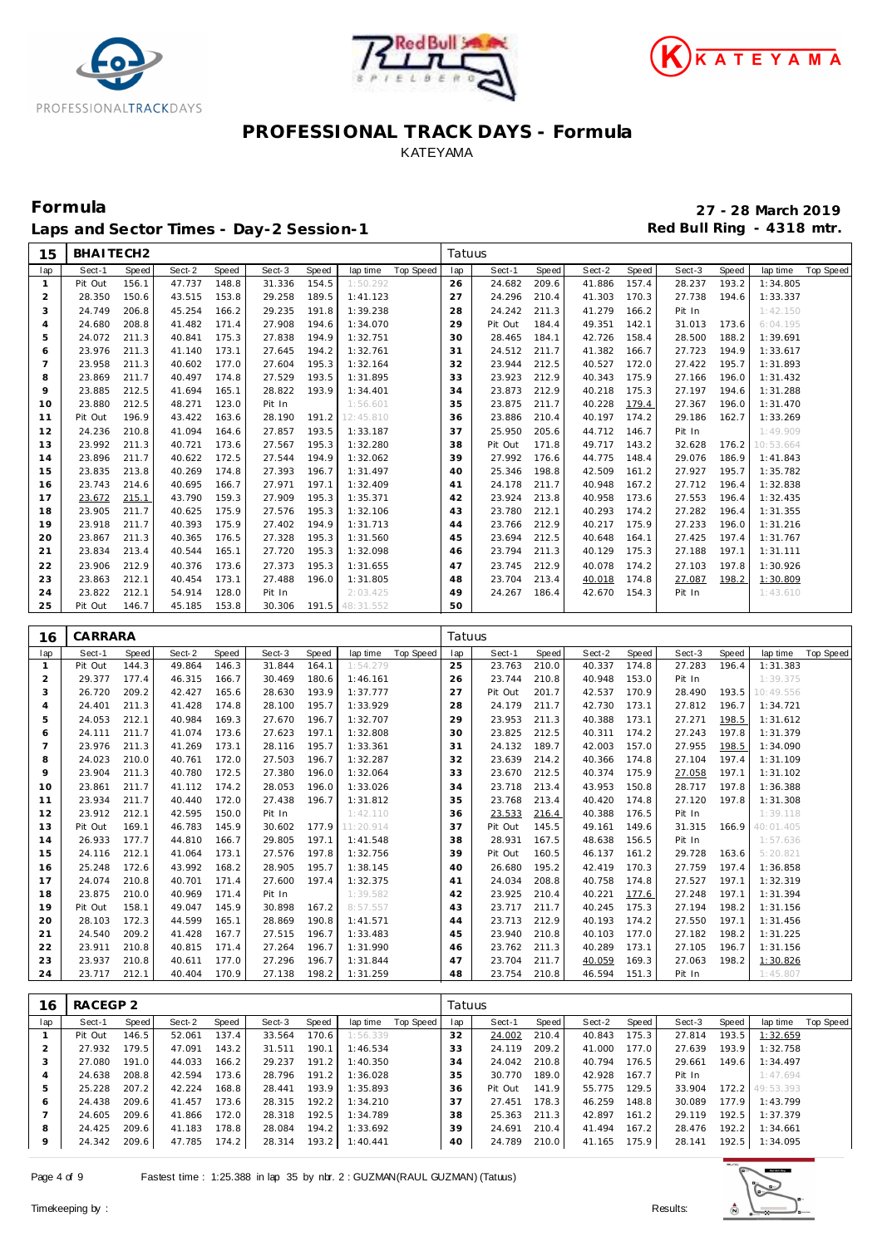





Laps and Sector Times - Day-2 Session-1 **Red Bull Ring - 4318 mtr.** 

| 15             | BHAITECH2        |                |                  |                |                  |                |                      |                  | Tatuus   |                  |                |                  |                |                  |       |                      |                  |
|----------------|------------------|----------------|------------------|----------------|------------------|----------------|----------------------|------------------|----------|------------------|----------------|------------------|----------------|------------------|-------|----------------------|------------------|
| lap            | Sect-1           | Speed          | Sect-2           | Speed          | Sect-3           | Speed          | lap time             | <b>Top Speed</b> | lap      | Sect-1           | Speed          | Sect-2           | Speed          | Sect-3           | Speed | lap time             | <b>Top Speed</b> |
| $\mathbf{1}$   | Pit Out          | 156.1          | 47.737           | 148.8          | 31.336           | 154.5          | 1:50.292             |                  | 26       | 24.682           | 209.6          | 41.886           | 157.4          | 28.237           | 193.2 | 1:34.805             |                  |
| $\overline{2}$ | 28.350           | 150.6          | 43.515           | 153.8          | 29.258           | 189.5          | 1:41.123             |                  | 27       | 24.296           | 210.4          | 41.303           | 170.3          | 27.738           | 194.6 | 1:33.337             |                  |
| 3              | 24.749           | 206.8          | 45.254           | 166.2          | 29.235           | 191.8          | 1:39.238             |                  | 28       | 24.242           | 211.3          | 41.279           | 166.2          | Pit In           |       | 1:42.150             |                  |
| $\overline{4}$ | 24.680           | 208.8          | 41.482           | 171.4          | 27.908           | 194.6          | 1:34.070             |                  | 29       | Pit Out          | 184.4          | 49.351           | 142.1          | 31.013           | 173.6 | 6:04.195             |                  |
| 5              | 24.072           | 211.3          | 40.841           | 175.3          | 27.838           | 194.9          | 1:32.751             |                  | 30       | 28.465           | 184.1          | 42.726           | 158.4          | 28.500           | 188.2 | 1:39.691             |                  |
| 6              | 23.976           | 211.3          | 41.140           | 173.1          | 27.645           | 194.2          | 1:32.761             |                  | 31       | 24.512           | 211.7          | 41.382           | 166.7          | 27.723           | 194.9 | 1:33.617             |                  |
| $\overline{7}$ | 23.958           | 211.3          | 40.602           | 177.0          | 27.604           | 195.3          | 1:32.164             |                  | 32       | 23.944           | 212.5          | 40.527           | 172.0          | 27.422           | 195.7 | 1:31.893             |                  |
| 8              | 23.869           | 211.7          | 40.497           | 174.8          | 27.529           | 193.5          | 1:31.895             |                  | 33       | 23.923           | 212.9          | 40.343           | 175.9          | 27.166           | 196.0 | 1:31.432             |                  |
| 9              | 23.885           | 212.5          | 41.694           | 165.1          | 28.822           | 193.9          | 1:34.401             |                  | 34       | 23.873           | 212.9          | 40.218           | 175.3          | 27.197           | 194.6 | 1:31.288             |                  |
| 10             | 23.880           | 212.5          | 48.271           | 123.0          | Pit In           |                | 1:56.601             |                  | 35       | 23.875           | 211.7          | 40.228           | 179.4          | 27.367           | 196.0 | 1:31.470             |                  |
| 11             | Pit Out          | 196.9          | 43.422           | 163.6          | 28.190           | 191.2          | 12:45.810            |                  | 36       | 23.886           | 210.4          | 40.197           | 174.2          | 29.186           | 162.7 | 1:33.269             |                  |
| 12             | 24.236           | 210.8          | 41.094           | 164.6          | 27.857           | 193.5          | 1:33.187             |                  | 37       | 25.950           | 205.6          | 44.712           | 146.7          | Pit In           |       | 1:49.909             |                  |
| 13             | 23.992           | 211.3          | 40.721           | 173.6          | 27.567           | 195.3          | 1:32.280             |                  | 38       | Pit Out          | 171.8          | 49.717           | 143.2          | 32.628           | 176.2 | 10:53.664            |                  |
| 14             | 23.896           | 211.7          | 40.622           | 172.5          | 27.544           | 194.9          | 1:32.062             |                  | 39       | 27.992           | 176.6          | 44.775           | 148.4          | 29.076           | 186.9 | 1:41.843             |                  |
| 15             | 23.835           | 213.8          | 40.269           | 174.8          | 27.393           | 196.7          | 1:31.497             |                  | 40       | 25.346           | 198.8          | 42.509           | 161.2          | 27.927           | 195.7 | 1:35.782             |                  |
| 16             | 23.743           | 214.6          | 40.695           | 166.7          | 27.971           | 197.1          | 1:32.409             |                  | 41       | 24.178           | 211.7          | 40.948           | 167.2          | 27.712           | 196.4 | 1:32.838             |                  |
| 17             | 23.672           | 215.1          | 43.790           | 159.3          | 27.909           | 195.3          | 1:35.371             |                  | 42       | 23.924           | 213.8          | 40.958           | 173.6          | 27.553           | 196.4 | 1:32.435             |                  |
| 18             | 23.905           | 211.7          | 40.625           | 175.9          | 27.576           | 195.3          | 1:32.106             |                  | 43       | 23.780           | 212.1          | 40.293           | 174.2          | 27.282           | 196.4 | 1:31.355             |                  |
| 19             | 23.918           | 211.7          | 40.393           | 175.9          | 27.402           | 194.9          | 1:31.713             |                  | 44       | 23.766           | 212.9          | 40.217           | 175.9          | 27.233           | 196.0 | 1:31.216             |                  |
| 20             | 23.867           | 211.3          | 40.365           | 176.5          | 27.328           | 195.3          | 1:31.560             |                  | 45       | 23.694           | 212.5          | 40.648           | 164.1          | 27.425           | 197.4 | 1:31.767             |                  |
| 21             | 23.834           | 213.4          | 40.544           | 165.1          | 27.720           | 195.3          | 1:32.098             |                  | 46       | 23.794           | 211.3          | 40.129           | 175.3          | 27.188           | 197.1 | 1:31.111             |                  |
| 22             | 23.906           | 212.9          | 40.376           | 173.6          | 27.373           | 195.3          | 1:31.655             |                  | 47       | 23.745           | 212.9          | 40.078           | 174.2          | 27.103           | 197.8 | 1:30.926             |                  |
| 23             | 23.863           | 212.1          | 40.454           | 173.1          | 27.488           | 196.0          | 1:31.805             |                  | 48       | 23.704           | 213.4          | 40.018           | 174.8          | 27.087           | 198.2 | 1:30.809             |                  |
| 24             | 23.822           | 212.1          | 54.914           | 128.0          | Pit In           |                | 2:03.425             |                  | 49       | 24.267           | 186.4          | 42.670           | 154.3          | Pit In           |       | 1:43.610             |                  |
| 25             | Pit Out          | 146.7          | 45.185           | 153.8          | 30.306           | 191.5          | 48:31.552            |                  | 50       |                  |                |                  |                |                  |       |                      |                  |
|                |                  |                |                  |                |                  |                |                      |                  |          |                  |                |                  |                |                  |       |                      |                  |
|                |                  |                |                  |                |                  |                |                      |                  |          |                  |                |                  |                |                  |       |                      |                  |
| 16             | CARRARA          |                |                  |                |                  |                |                      |                  | Tatuus   |                  |                |                  |                |                  |       |                      |                  |
| lap            | Sect-1           | <b>Speed</b>   | Sect-2           | Speed          | Sect-3           | Speed          | lap time             | <b>Top Speed</b> | lap      | Sect-1           | Speed          | Sect-2           | Speed          | Sect-3           | Speed | lap time             | <b>Top Speed</b> |
| 1              | Pit Out          | 144.3          | 49.864           | 146.3          | 31.844           | 164.1          | 1:54.279             |                  | 25       | 23.763           | 210.0          | 40.337           | 174.8          | 27.283           | 196.4 | 1:31.383             |                  |
| 2              | 29.377           | 177.4          | 46.315           | 166.7          | 30.469           | 180.6          | 1:46.161             |                  | 26       | 23.744           | 210.8          | 40.948           | 153.0          | Pit In           |       | 1:39.375             |                  |
| 3              | 26.720           | 209.2          | 42.427           | 165.6          | 28.630           | 193.9          | 1:37.777             |                  | 27       | Pit Out          | 201.7          | 42.537           | 170.9          | 28.490           | 193.5 | 10:49.556            |                  |
| $\overline{4}$ | 24.401           | 211.3          | 41.428           | 174.8          | 28.100           | 195.7          | 1:33.929             |                  | 28       | 24.179           | 211.7          | 42.730           | 173.1          | 27.812           | 196.7 | 1:34.721             |                  |
| 5              | 24.053           | 212.1          | 40.984           | 169.3          | 27.670           | 196.7          | 1:32.707             |                  | 29       | 23.953           | 211.3          | 40.388           | 173.1          | 27.271           | 198.5 | 1:31.612             |                  |
| 6              | 24.111           | 211.7          | 41.074           | 173.6          | 27.623           | 197.1          | 1:32.808             |                  | 30       | 23.825           | 212.5          | 40.311           | 174.2          | 27.243           | 197.8 | 1:31.379             |                  |
| $\overline{7}$ | 23.976           | 211.3          | 41.269           | 173.1          | 28.116           | 195.7          | 1:33.361             |                  | 31       | 24.132           | 189.7          | 42.003           | 157.0          | 27.955           | 198.5 | 1:34.090             |                  |
| 8              | 24.023           | 210.0          | 40.761           | 172.0          | 27.503           | 196.7          | 1:32.287             |                  | 32       | 23.639           | 214.2          | 40.366           | 174.8          | 27.104           | 197.4 | 1:31.109             |                  |
| 9              | 23.904           | 211.3          | 40.780           | 172.5          | 27.380           | 196.0          | 1:32.064             |                  | 33       | 23.670           | 212.5          | 40.374           | 175.9          | 27.058           | 197.1 | 1:31.102             |                  |
| 10             | 23.861           | 211.7          | 41.112           | 174.2          | 28.053           | 196.0          | 1:33.026             |                  | 34       | 23.718           | 213.4          | 43.953           | 150.8          | 28.717           | 197.8 | 1:36.388             |                  |
| 11             | 23.934           | 211.7          | 40.440           | 172.0          | 27.438           | 196.7          | 1:31.812             |                  | 35       | 23.768           | 213.4          | 40.420           | 174.8          | 27.120           | 197.8 | 1:31.308             |                  |
| 12             | 23.912           | 212.1          | 42.595           | 150.0          | Pit In           |                | 1:42.110             |                  | 36       | 23.533           | 216.4          | 40.388           | 176.5          | Pit In           |       | 1:39.118             |                  |
| 13             | Pit Out          | 169.1          | 46.783           | 145.9          | 30.602           | 177.9          | 11:20.914            |                  | 37       | Pit Out          | 145.5          | 49.161           | 149.6          | 31.315           | 166.9 | 40:01.405            |                  |
| 14             | 26.933           | 177.7          | 44.810           | 166.7          | 29.805           | 197.1          | 1:41.548             |                  | 38       | 28.931           | 167.5          | 48.638           | 156.5          | Pit In           |       | 1:57.636             |                  |
| 15             | 24.116           | 212.1          | 41.064           | 173.1          | 27.576           | 197.8          | 1:32.756             |                  | 39       | Pit Out          | 160.5          | 46.137           | 161.2          | 29.728           | 163.6 | 5:20.821             |                  |
| 16             | 25.248           | 172.6          | 43.992           | 168.2          | 28.905           | 195.7          | 1:38.145             |                  | 40       | 26.680           | 195.2          | 42.419           | 170.3          | 27.759           | 197.4 | 1:36.858             |                  |
| 17             | 24.074           | 210.8          | 40.701           | 171.4          | 27.600           | 197.4          | 1:32.375             |                  | 41       | 24.034           | 208.8          | 40.758           | 174.8          | 27.527           | 197.1 | 1:32.319             |                  |
| 18             | 23.875           | 210.0          | 40.969           | 171.4          | Pit In           |                | 1:39.582             |                  | 42       | 23.925           | 210.4          | 40.221           | 177.6          | 27.248           | 197.1 | 1:31.394             |                  |
| 19             | Pit Out          | 158.1          | 49.047           | 145.9          | 30.898           | 167.2          | 8:57.557             |                  | 43       | 23.717           | 211.7          | 40.245           | 175.3          | 27.194           | 198.2 | 1:31.156             |                  |
| 20             | 28.103           | 172.3          | 44.599           | 165.1          | 28.869           | 190.8          | 1:41.571             |                  | 44       | 23.713           | 212.9          | 40.193           | 174.2          | 27.550           | 197.1 | 1:31.456             |                  |
| 21             | 24.540           | 209.2          | 41.428           | 167.7          | 27.515           | 196.7          | 1:33.483             |                  | 45       | 23.940           | 210.8          | 40.103           | 177.0          | 27.182           | 198.2 | 1:31.225             |                  |
| 22             | 23.911           | 210.8          | 40.815           | 171.4          | 27.264           | 196.7          | 1:31.990             |                  | 46       | 23.762           | 211.3          | 40.289           | 173.1          | 27.105           | 196.7 | 1:31.156             |                  |
| 23<br>24       | 23.937<br>23.717 | 210.8<br>212.1 | 40.611<br>40.404 | 177.0<br>170.9 | 27.296<br>27.138 | 196.7<br>198.2 | 1:31.844<br>1:31.259 |                  | 47<br>48 | 23.704<br>23.754 | 211.7<br>210.8 | 40.059<br>46.594 | 169.3<br>151.3 | 27.063<br>Pit In | 198.2 | 1:30.826<br>1:45.807 |                  |
|                |                  |                |                  |                |                  |                |                      |                  |          |                  |                |                  |                |                  |       |                      |                  |

| 16  | RACEGP 2 |         |        |       |        |       |          |           | Tatuus |         |       |        |       |        |       |                 |           |
|-----|----------|---------|--------|-------|--------|-------|----------|-----------|--------|---------|-------|--------|-------|--------|-------|-----------------|-----------|
| lap | Sect-1   | Speed I | Sect-2 | Speed | Sect-3 | Speed | lap time | Top Speed | lap    | Sect-1  | Speed | Sect-2 | Speed | Sect-3 | Speed | lap time        | Top Speed |
|     | Pit Out  | 146.5   | 52.061 | 137.4 | 33.564 | 170.6 | 1:56.339 |           | 32     | 24.002  | 210.4 | 40.843 | 175.3 | 27.814 | 193.5 | 1:32.659        |           |
|     | 27.932   | 179.5   | 47.091 | 143.2 | 31.511 | 190.1 | 1:46.534 |           | 33     | 24.119  | 209.2 | 41.000 | 177.0 | 27.639 | 193.9 | 1:32.758        |           |
| 3   | 27.080   | 191.0   | 44.033 | 166.2 | 29.237 | 191.2 | 1:40.350 |           | 34     | 24.042  | 210.8 | 40.794 | 176.5 | 29.661 | 149.6 | 1:34.497        |           |
|     | 24.638   | 208.8   | 42.594 | 173.6 | 28.796 | 191.2 | 1:36.028 |           | 35     | 30.770  | 189.0 | 42.928 | 167.7 | Pit In |       | 1:47.694        |           |
| 5   | 25.228   | 207.2   | 42.224 | 168.8 | 28.441 | 193.9 | 1:35.893 |           | 36     | Pit Out | 141.9 | 55.775 | 129.5 | 33.904 |       | 172.2 49:53.393 |           |
| 6   | 24.438   | 209.6   | 41.457 | 173.6 | 28.315 | 192.2 | 1:34.210 |           | 37     | 27.451  | 178.3 | 46.259 | 148.8 | 30.089 | 177.9 | 1:43.799        |           |
|     | 24.605   | 209.6   | 41.866 | 172.0 | 28.318 | 192.5 | 1:34.789 |           | 38     | 25.363  | 211.3 | 42.897 | 161.2 | 29.119 | 192.5 | 1:37.379        |           |
| 8   | 24.425   | 209.6   | 41.183 | 178.8 | 28.084 | 194.2 | 1:33.692 |           | 39     | 24.691  | 210.4 | 41.494 | 167.2 | 28.476 | 192.2 | 1:34.661        |           |
| 9   | 24.342   | 209.6   | 47.785 | 174.2 | 28.314 | 193.2 | 1:40.441 |           | 40     | 24.789  | 210.0 | 41.165 | 175.9 | 28.141 | 192.5 | 1:34.095        |           |

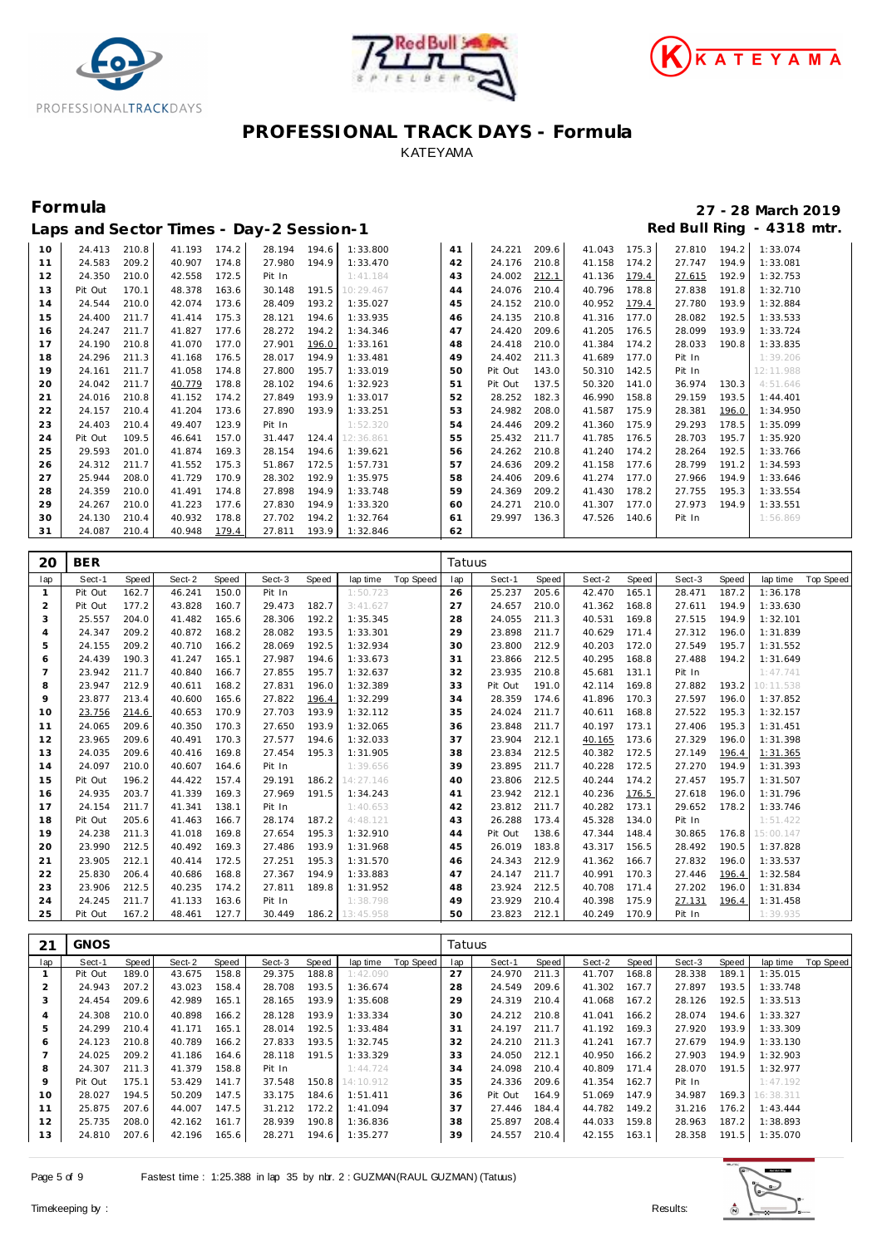





#### **Formula 27 - 28 March 2019** Laps and Sector Times - Day-2 Session-1 *Red Bull Ring - 4318 mtr.*

| ⊏ີ⊳ິ |         |       | $3.18$ $3.00$ $1.01$ $1.00$ | $   \prime$ |              |       |                          |    |              |       |              |       |        |       |           |
|------|---------|-------|-----------------------------|-------------|--------------|-------|--------------------------|----|--------------|-------|--------------|-------|--------|-------|-----------|
| 10   | 24.413  | 210.8 | 41.193                      | 174.2       | 28.194 194.6 |       | 1:33.800                 | 41 | 24.221       | 209.6 | 41.043 175.3 |       | 27.810 | 194.2 | 1:33.074  |
| 11   | 24.583  | 209.2 | 40.907                      | 174.8       | 27.980 194.9 |       | 1:33.470                 | 42 | 24.176       | 210.8 | 41.158 174.2 |       | 27.747 | 194.9 | 1:33.081  |
| 12   | 24.350  | 210.0 | 42.558                      | 172.5       | Pit In       |       | 1:41.184                 | 43 | 24.002       | 212.1 | 41.136       | 179.4 | 27.615 | 192.9 | 1:32.753  |
| 13   | Pit Out | 170.1 | 48.378                      | 163.6       | 30.148       |       | 191.5 10:29.467          | 44 | 24.076       | 210.4 | 40.796       | 178.8 | 27.838 | 191.8 | 1:32.710  |
| 14   | 24.544  | 210.0 | 42.074                      | 173.6       | 28.409       | 193.2 | 1:35.027                 | 45 | 24.152       | 210.0 | 40.952 179.4 |       | 27.780 | 193.9 | 1:32.884  |
| 15   | 24.400  | 211.7 | 41.414                      | 175.3       | 28.121       | 194.6 | 1:33.935                 | 46 | 24.135       | 210.8 | 41.316 177.0 |       | 28.082 | 192.5 | 1:33.533  |
| 16   | 24.247  | 211.7 | 41.827                      | 177.6       | 28.272       | 194.2 | 1:34.346                 | 47 | 24.420       | 209.6 | 41.205 176.5 |       | 28.099 | 193.9 | 1:33.724  |
| 17   | 24.190  | 210.8 | 41.070                      | 177.0       | 27.901       | 196.0 | 1:33.161                 | 48 | 24.418       | 210.0 | 41.384       | 174.2 | 28.033 | 190.8 | 1:33.835  |
| 18   | 24.296  | 211.3 | 41.168                      | 176.5       | 28.017       | 194.9 | 1:33.481                 | 49 | 24.402       | 211.3 | 41.689       | 177.0 | Pit In |       | 1:39.206  |
| 19   | 24.161  | 211.7 | 41.058                      | 174.8       | 27.800       | 195.7 | 1:33.019                 | 50 | Pit Out      | 143.0 | 50.310 142.5 |       | Pit In |       | 12:11.988 |
| 20   | 24.042  | 211.7 | 40.779                      | 178.8       | 28.102       | 194.6 | 1:32.923                 | 51 | Pit Out      | 137.5 | 50.320       | 141.0 | 36.974 | 130.3 | 4:51.646  |
| 21   | 24.016  | 210.8 | 41.152                      | 174.2       | 27.849       | 193.9 | 1:33.017                 | 52 | 28.252       | 182.3 | 46.990       | 158.8 | 29.159 | 193.5 | 1:44.401  |
| 22   | 24.157  | 210.4 | 41.204                      | 173.6       | 27.890       | 193.9 | 1:33.251                 | 53 | 24.982       | 208.0 | 41.587       | 175.9 | 28.381 | 196.0 | 1:34.950  |
| 23   | 24.403  | 210.4 | 49.407                      | 123.9       | Pit In       |       | 1:52.320                 | 54 | 24.446       | 209.2 | 41.360       | 175.9 | 29.293 | 178.5 | 1:35.099  |
| 24   | Pit Out | 109.5 | 46.641                      | 157.0       |              |       | 31.447  124.4  12:36.861 | 55 | 25.432       | 211.7 | 41.785       | 176.5 | 28.703 | 195.7 | 1:35.920  |
| 25   | 29.593  | 201.0 | 41.874                      | 169.3       | 28.154       | 194.6 | 1:39.621                 | 56 | 24.262       | 210.8 | 41.240       | 174.2 | 28.264 | 192.5 | 1:33.766  |
| 26   | 24.312  | 211.7 | 41.552                      | 175.3       | 51.867       | 172.5 | 1:57.731                 | 57 | 24.636       | 209.2 | 41.158       | 177.6 | 28.799 | 191.2 | 1:34.593  |
| 27   | 25.944  | 208.0 | 41.729                      | 170.9       | 28.302       | 192.9 | 1:35.975                 | 58 | 24.406       | 209.6 | 41.274 177.0 |       | 27.966 | 194.9 | 1:33.646  |
| 28   | 24.359  | 210.0 | 41.491                      | 174.8       | 27.898       | 194.9 | 1:33.748                 | 59 | 24.369       | 209.2 | 41.430       | 178.2 | 27.755 | 195.3 | 1:33.554  |
| 29   | 24.267  | 210.0 | 41.223                      | 177.6       | 27.830       | 194.9 | 1:33.320                 | 60 | 24.271       | 210.0 | 41.307       | 177.0 | 27.973 | 194.9 | 1:33.551  |
| 30   | 24.130  | 210.4 | 40.932                      | 178.8       | 27.702       | 194.2 | 1:32.764                 | 61 | 29.997 136.3 |       | 47.526 140.6 |       | Pit In |       | 1:56.869  |
| 31   | 24.087  | 210.4 | 40.948                      | 179.4       | 27.811       | 193.9 | 1:32.846                 | 62 |              |       |              |       |        |       |           |

| 20  | <b>BER</b> |       |        |       |        |       |           |           | Tatuus |         |       |        |       |        |       |           |           |
|-----|------------|-------|--------|-------|--------|-------|-----------|-----------|--------|---------|-------|--------|-------|--------|-------|-----------|-----------|
| lap | Sect-1     | Speed | Sect-2 | Speed | Sect-3 | Speed | lap time  | Top Speed | lap    | Sect-1  | Speed | Sect-2 | Speed | Sect-3 | Speed | lap time  | Top Speed |
| 1   | Pit Out    | 162.7 | 46.241 | 150.0 | Pit In |       | 1:50.723  |           | 26     | 25.237  | 205.6 | 42.470 | 165.1 | 28.471 | 187.2 | 1:36.178  |           |
| 2   | Pit Out    | 177.2 | 43.828 | 160.7 | 29.473 | 182.7 | 3:41.627  |           | 27     | 24.657  | 210.0 | 41.362 | 168.8 | 27.611 | 194.9 | 1:33.630  |           |
| 3   | 25.557     | 204.0 | 41.482 | 165.6 | 28.306 | 192.2 | 1:35.345  |           | 28     | 24.055  | 211.3 | 40.531 | 169.8 | 27.515 | 194.9 | 1:32.101  |           |
| 4   | 24.347     | 209.2 | 40.872 | 168.2 | 28.082 | 193.5 | 1:33.301  |           | 29     | 23.898  | 211.7 | 40.629 | 171.4 | 27.312 | 196.0 | 1:31.839  |           |
| 5   | 24.155     | 209.2 | 40.710 | 166.2 | 28.069 | 192.5 | 1:32.934  |           | 30     | 23.800  | 212.9 | 40.203 | 172.0 | 27.549 | 195.7 | 1:31.552  |           |
| 6   | 24.439     | 190.3 | 41.247 | 165.1 | 27.987 | 194.6 | 1:33.673  |           | 31     | 23.866  | 212.5 | 40.295 | 168.8 | 27.488 | 194.2 | 1:31.649  |           |
| 7   | 23.942     | 211.7 | 40.840 | 166.7 | 27.855 | 195.7 | 1:32.637  |           | 32     | 23.935  | 210.8 | 45.681 | 131.1 | Pit In |       | 1:47.741  |           |
| 8   | 23.947     | 212.9 | 40.611 | 168.2 | 27.831 | 196.0 | 1:32.389  |           | 33     | Pit Out | 191.0 | 42.114 | 169.8 | 27.882 | 193.2 | 10:11.538 |           |
| 9   | 23.877     | 213.4 | 40.600 | 165.6 | 27.822 | 196.4 | 1:32.299  |           | 34     | 28.359  | 174.6 | 41.896 | 170.3 | 27.597 | 196.0 | 1:37.852  |           |
| 10  | 23.756     | 214.6 | 40.653 | 170.9 | 27.703 | 193.9 | 1:32.112  |           | 35     | 24.024  | 211.7 | 40.611 | 168.8 | 27.522 | 195.3 | 1:32.157  |           |
| 11  | 24.065     | 209.6 | 40.350 | 170.3 | 27.650 | 193.9 | 1:32.065  |           | 36     | 23.848  | 211.7 | 40.197 | 173.1 | 27.406 | 195.3 | 1:31.451  |           |
| 12  | 23.965     | 209.6 | 40.491 | 170.3 | 27.577 | 194.6 | 1:32.033  |           | 37     | 23.904  | 212.1 | 40.165 | 173.6 | 27.329 | 196.0 | 1:31.398  |           |
| 13  | 24.035     | 209.6 | 40.416 | 169.8 | 27.454 | 195.3 | 1:31.905  |           | 38     | 23.834  | 212.5 | 40.382 | 172.5 | 27.149 | 196.4 | 1:31.365  |           |
| 14  | 24.097     | 210.0 | 40.607 | 164.6 | Pit In |       | 1:39.656  |           | 39     | 23.895  | 211.7 | 40.228 | 172.5 | 27.270 | 194.9 | 1:31.393  |           |
| 15  | Pit Out    | 196.2 | 44.422 | 157.4 | 29.191 | 186.2 | 14:27.146 |           | 40     | 23.806  | 212.5 | 40.244 | 174.2 | 27.457 | 195.7 | 1:31.507  |           |
| 16  | 24.935     | 203.7 | 41.339 | 169.3 | 27.969 | 191.5 | 1:34.243  |           | 41     | 23.942  | 212.1 | 40.236 | 176.5 | 27.618 | 196.0 | 1:31.796  |           |
| 17  | 24.154     | 211.7 | 41.341 | 138.1 | Pit In |       | 1:40.653  |           | 42     | 23.812  | 211.7 | 40.282 | 173.1 | 29.652 | 178.2 | 1:33.746  |           |
| 18  | Pit Out    | 205.6 | 41.463 | 166.7 | 28.174 | 187.2 | 4:48.121  |           | 43     | 26.288  | 173.4 | 45.328 | 134.0 | Pit In |       | 1:51.422  |           |
| 19  | 24.238     | 211.3 | 41.018 | 169.8 | 27.654 | 195.3 | 1:32.910  |           | 44     | Pit Out | 138.6 | 47.344 | 148.4 | 30.865 | 176.8 | 15:00.147 |           |
| 20  | 23.990     | 212.5 | 40.492 | 169.3 | 27.486 | 193.9 | 1:31.968  |           | 45     | 26.019  | 183.8 | 43.317 | 156.5 | 28.492 | 190.5 | 1:37.828  |           |
| 21  | 23.905     | 212.1 | 40.414 | 172.5 | 27.251 | 195.3 | 1:31.570  |           | 46     | 24.343  | 212.9 | 41.362 | 166.7 | 27.832 | 196.0 | 1:33.537  |           |
| 22  | 25.830     | 206.4 | 40.686 | 168.8 | 27.367 | 194.9 | 1:33.883  |           | 47     | 24.147  | 211.7 | 40.991 | 170.3 | 27.446 | 196.4 | 1:32.584  |           |
| 23  | 23.906     | 212.5 | 40.235 | 174.2 | 27.811 | 189.8 | 1:31.952  |           | 48     | 23.924  | 212.5 | 40.708 | 171.4 | 27.202 | 196.0 | 1:31.834  |           |
| 24  | 24.245     | 211.7 | 41.133 | 163.6 | Pit In |       | 1:38.798  |           | 49     | 23.929  | 210.4 | 40.398 | 175.9 | 27.131 | 196.4 | 1:31.458  |           |
| 25  | Pit Out    | 167.2 | 48.461 | 127.7 | 30.449 | 186.2 | 13:45.958 |           | 50     | 23.823  | 212.1 | 40.249 | 170.9 | Pit In |       | 1:39.935  |           |

| 21  | <b>GNOS</b> |       |        |       |        |       |           |           | Tatuus |         |       |        |       |        |       |           |           |
|-----|-------------|-------|--------|-------|--------|-------|-----------|-----------|--------|---------|-------|--------|-------|--------|-------|-----------|-----------|
| lap | Sect-1      | Speed | Sect-2 | Speed | Sect-3 | Speed | lap time  | Top Speed | lap    | Sect-1  | Speed | Sect-2 | Speed | Sect-3 | Speed | lap time  | Top Speed |
|     | Pit Out     | 189.0 | 43.675 | 158.8 | 29.375 | 188.8 | 1:42.090  |           | 27     | 24.970  | 211.3 | 41.707 | 168.8 | 28.338 | 189.1 | 1:35.015  |           |
|     | 24.943      | 207.2 | 43.023 | 158.4 | 28.708 | 193.5 | 1:36.674  |           | 28     | 24.549  | 209.6 | 41.302 | 167.7 | 27.897 | 193.5 | 1:33.748  |           |
| 3   | 24.454      | 209.6 | 42.989 | 165.1 | 28.165 | 193.9 | 1:35.608  |           | 29     | 24.319  | 210.4 | 41.068 | 167.2 | 28.126 | 192.5 | 1:33.513  |           |
| 4   | 24.308      | 210.0 | 40.898 | 166.2 | 28.128 | 193.9 | 1:33.334  |           | 30     | 24.212  | 210.8 | 41.041 | 166.2 | 28.074 | 194.6 | 1:33.327  |           |
| 5   | 24.299      | 210.4 | 41.171 | 165.1 | 28.014 | 192.5 | 1:33.484  |           | 31     | 24.197  | 211.7 | 41.192 | 169.3 | 27.920 | 193.9 | 1:33.309  |           |
| 6   | 24.123      | 210.8 | 40.789 | 166.2 | 27.833 | 193.5 | 1:32.745  |           | 32     | 24.210  | 211.3 | 41.241 | 167.7 | 27.679 | 194.9 | 1:33.130  |           |
|     | 24.025      | 209.2 | 41.186 | 164.6 | 28.118 | 191.5 | 1:33.329  |           | 33     | 24.050  | 212.1 | 40.950 | 166.2 | 27.903 | 194.9 | 1:32.903  |           |
| 8   | 24.307      | 211.3 | 41.379 | 158.8 | Pit In |       | 1:44.724  |           | 34     | 24.098  | 210.4 | 40.809 | 171.4 | 28.070 | 191.5 | 1:32.977  |           |
| 9   | Pit Out     | 175.1 | 53.429 | 141.7 | 37.548 | 150.8 | 14:10.912 |           | 35     | 24.336  | 209.6 | 41.354 | 162.7 | Pit In |       | 1:47.192  |           |
| 10  | 28.027      | 194.5 | 50.209 | 147.5 | 33.175 | 184.6 | 1:51.411  |           | 36     | Pit Out | 164.9 | 51.069 | 147.9 | 34.987 | 169.3 | 16:38.311 |           |
| 11  | 25.875      | 207.6 | 44.007 | 147.5 | 31.212 | 172.2 | 1:41.094  |           | 37     | 27.446  | 184.4 | 44.782 | 149.2 | 31.216 | 176.2 | 1:43.444  |           |
| 12  | 25.735      | 208.0 | 42.162 | 161.7 | 28.939 | 190.8 | 1:36.836  |           | 38     | 25.897  | 208.4 | 44.033 | 159.8 | 28.963 | 187.2 | 1:38.893  |           |
| 13  | 24.810      | 207.6 | 42.196 | 165.6 | 28.271 | 194.6 | 1:35.277  |           | 39     | 24.557  | 210.4 | 42.155 | 163.1 | 28.358 | 191.5 | 1:35.070  |           |

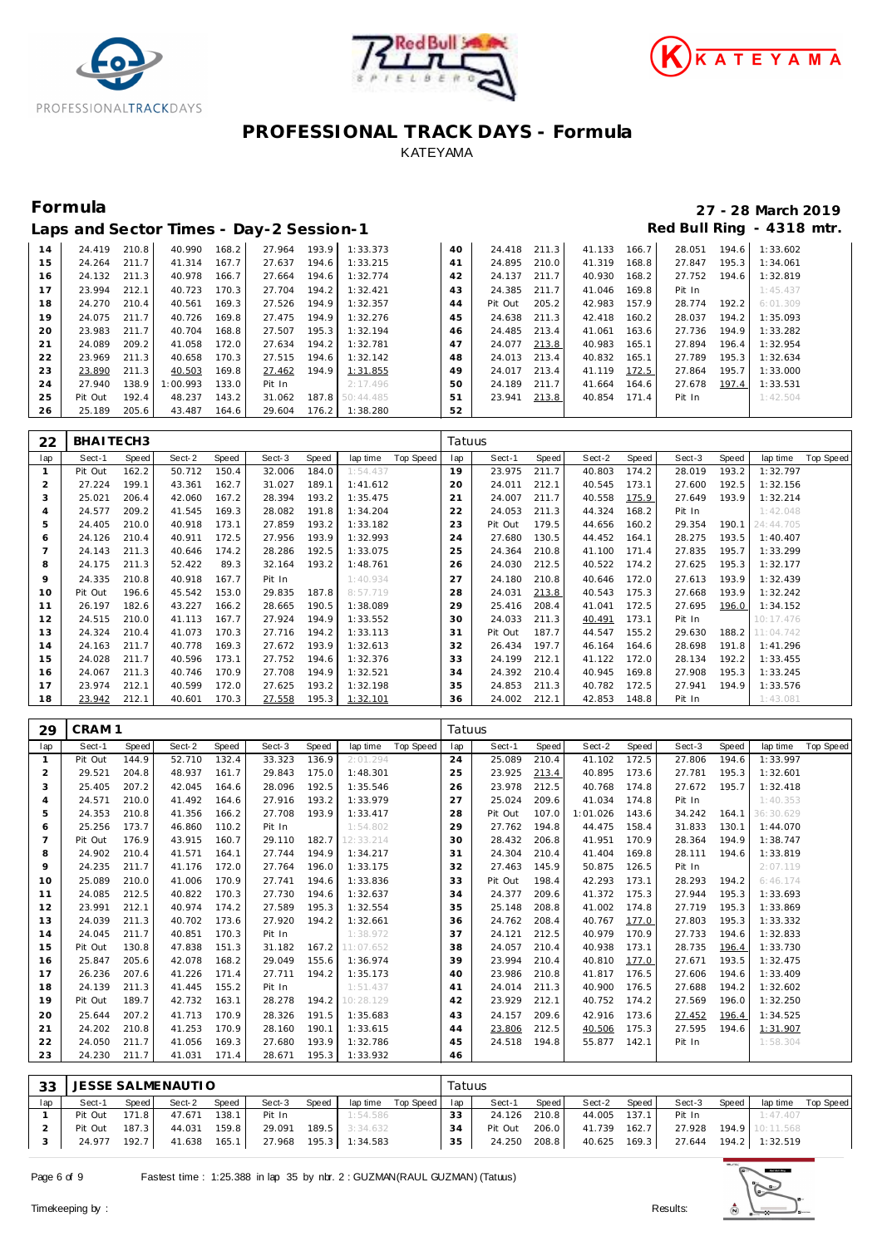





|    |         |       |         |       | Laps and Sector Times - Day-2 Session-1 |       |                 |    |         |       |        |       |        |       | Red Bull Ring - 4318 mtr. |
|----|---------|-------|---------|-------|-----------------------------------------|-------|-----------------|----|---------|-------|--------|-------|--------|-------|---------------------------|
| 14 | 24.419  | 210.8 | 40.990  | 168.2 | 27.964                                  | 193.9 | 1:33.373        | 40 | 24.418  | 211.3 | 41.133 | 166.7 | 28.051 | 194.6 | 1:33.602                  |
| 15 | 24.264  | 211.7 | 41.314  | 167.7 | 27.637                                  | 194.6 | 1:33.215        | 41 | 24.895  | 210.0 | 41.319 | 168.8 | 27.847 | 195.3 | 1:34.061                  |
| 16 | 24.132  | 211.3 | 40.978  | 166.7 | 27.664                                  | 194.6 | 1:32.774        | 42 | 24.137  | 211.7 | 40.930 | 168.2 | 27.752 | 194.6 | 1:32.819                  |
| 17 | 23.994  | 212.1 | 40.723  | 170.3 | 27.704                                  | 194.2 | 1:32.421        | 43 | 24.385  | 211.7 | 41.046 | 169.8 | Pit In |       | 1:45.437                  |
| 18 | 24.270  | 210.4 | 40.561  | 169.3 | 27.526                                  | 194.9 | 1:32.357        | 44 | Pit Out | 205.2 | 42.983 | 157.9 | 28.774 | 192.2 | 6:01.309                  |
| 19 | 24.075  | 211.7 | 40.726  | 169.8 | 27.475                                  | 194.9 | 1:32.276        | 45 | 24.638  | 211.3 | 42.418 | 160.2 | 28.037 | 194.2 | 1:35.093                  |
| 20 | 23.983  | 211.7 | 40.704  | 168.8 | 27.507                                  | 195.3 | 1:32.194        | 46 | 24.485  | 213.4 | 41.061 | 163.6 | 27.736 | 194.9 | 1:33.282                  |
| 21 | 24.089  | 209.2 | 41.058  | 172.0 | 27.634                                  | 194.2 | 1:32.781        | 47 | 24.077  | 213.8 | 40.983 | 165.1 | 27.894 | 196.4 | 1:32.954                  |
| 22 | 23.969  | 211.3 | 40.658  | 170.3 | 27.515                                  | 194.6 | 1:32.142        | 48 | 24.013  | 213.4 | 40.832 | 165.1 | 27.789 | 195.3 | 1:32.634                  |
| 23 | 23.890  | 211.3 | 40.503  | 169.8 | 27.462                                  | 194.9 | 1:31.855        | 49 | 24.017  | 213.4 | 41.119 | 172.5 | 27.864 | 195.7 | 1:33.000                  |
| 24 | 27.940  | 138.9 | :00.993 | 133.0 | Pit In                                  |       | 2:17.496        | 50 | 24.189  | 211.7 | 41.664 | 164.6 | 27.678 | 197.4 | 1:33.531                  |
| 25 | Pit Out | 192.4 | 48.237  | 143.2 | 31.062                                  |       | 187.8 50:44.485 | 51 | 23.941  | 213.8 | 40.854 | 171.4 | Pit In |       | 1:42.504                  |
| 26 | 25.189  | 205.6 | 43.487  | 164.6 | 29.604                                  | 176.2 | 1:38.280        | 52 |         |       |        |       |        |       |                           |

| 22  | BHAITECH3 |       |        |       |        |       |          |           | Tatuus |         |       |        |       |        |       |           |           |
|-----|-----------|-------|--------|-------|--------|-------|----------|-----------|--------|---------|-------|--------|-------|--------|-------|-----------|-----------|
| lap | Sect-1    | Speed | Sect-2 | Speed | Sect-3 | Speed | lap time | Top Speed | lap    | Sect-1  | Speed | Sect-2 | Speed | Sect-3 | Speed | lap time  | Top Speed |
|     | Pit Out   | 162.2 | 50.712 | 150.4 | 32.006 | 184.0 | 1:54.437 |           | 19     | 23.975  | 211.7 | 40.803 | 174.2 | 28.019 | 193.2 | 1:32.797  |           |
|     | 27.224    | 199.1 | 43.361 | 162.7 | 31.027 | 189.1 | 1:41.612 |           | 20     | 24.011  | 212.1 | 40.545 | 173.1 | 27.600 | 192.5 | 1:32.156  |           |
| 3   | 25.021    | 206.4 | 42.060 | 167.2 | 28.394 | 193.2 | 1:35.475 |           | 21     | 24.007  | 211.7 | 40.558 | 175.9 | 27.649 | 193.9 | 1:32.214  |           |
|     | 24.577    | 209.2 | 41.545 | 169.3 | 28.082 | 191.8 | 1:34.204 |           | 22     | 24.053  | 211.3 | 44.324 | 168.2 | Pit In |       | 1:42.048  |           |
| 5   | 24.405    | 210.0 | 40.918 | 173.1 | 27.859 | 193.2 | 1:33.182 |           | 23     | Pit Out | 179.5 | 44.656 | 160.2 | 29.354 | 190.1 | 24:44.705 |           |
| 6   | 24.126    | 210.4 | 40.911 | 172.5 | 27.956 | 193.9 | 1:32.993 |           | 24     | 27.680  | 130.5 | 44.452 | 164.1 | 28.275 | 193.5 | 1:40.407  |           |
|     | 24.143    | 211.3 | 40.646 | 174.2 | 28.286 | 192.5 | 1:33.075 |           | 25     | 24.364  | 210.8 | 41.100 | 171.4 | 27.835 | 195.7 | 1:33.299  |           |
| 8   | 24.175    | 211.3 | 52.422 | 89.3  | 32.164 | 193.2 | 1:48.761 |           | 26     | 24.030  | 212.5 | 40.522 | 174.2 | 27.625 | 195.3 | 1:32.177  |           |
| 9   | 24.335    | 210.8 | 40.918 | 167.7 | Pit In |       | 1:40.934 |           | 27     | 24.180  | 210.8 | 40.646 | 172.0 | 27.613 | 193.9 | 1:32.439  |           |
| 10  | Pit Out   | 196.6 | 45.542 | 153.0 | 29.835 | 187.8 | 8:57.719 |           | 28     | 24.031  | 213.8 | 40.543 | 175.3 | 27.668 | 193.9 | 1:32.242  |           |
| 11  | 26.197    | 182.6 | 43.227 | 166.2 | 28.665 | 190.5 | 1:38.089 |           | 29     | 25.416  | 208.4 | 41.041 | 172.5 | 27.695 | 196.0 | 1:34.152  |           |
| 12  | 24.515    | 210.0 | 41.113 | 167.7 | 27.924 | 194.9 | 1:33.552 |           | 30     | 24.033  | 211.3 | 40.491 | 173.1 | Pit In |       | 10:17.476 |           |
| 13  | 24.324    | 210.4 | 41.073 | 170.3 | 27.716 | 194.2 | 1:33.113 |           | 31     | Pit Out | 187.7 | 44.547 | 155.2 | 29.630 | 188.2 | 11:04.742 |           |
| 14  | 24.163    | 211.7 | 40.778 | 169.3 | 27.672 | 193.9 | 1:32.613 |           | 32     | 26.434  | 197.7 | 46.164 | 164.6 | 28.698 | 191.8 | 1:41.296  |           |
| 15  | 24.028    | 211.7 | 40.596 | 173.1 | 27.752 | 194.6 | 1:32.376 |           | 33     | 24.199  | 212.1 | 41.122 | 172.0 | 28.134 | 192.2 | 1:33.455  |           |
| 16  | 24.067    | 211.3 | 40.746 | 170.9 | 27.708 | 194.9 | 1:32.521 |           | 34     | 24.392  | 210.4 | 40.945 | 169.8 | 27.908 | 195.3 | 1:33.245  |           |
| 17  | 23.974    | 212.1 | 40.599 | 172.0 | 27.625 | 193.2 | 1:32.198 |           | 35     | 24.853  | 211.3 | 40.782 | 172.5 | 27.941 | 194.9 | 1:33.576  |           |
| 18  | 23.942    | 212.1 | 40.601 | 170.3 | 27.558 | 195.3 | 1:32.101 |           | 36     | 24.002  | 212.1 | 42.853 | 148.8 | Pit In |       | 1:43.081  |           |

| 29             | CRAM <sub>1</sub> |       |        |       |        |       |           |           | Tatuus |         |       |          |       |        |       |           |           |
|----------------|-------------------|-------|--------|-------|--------|-------|-----------|-----------|--------|---------|-------|----------|-------|--------|-------|-----------|-----------|
| lap            | Sect-1            | Speed | Sect-2 | Speed | Sect-3 | Speed | lap time  | Top Speed | lap    | Sect-1  | Speed | Sect-2   | Speed | Sect-3 | Speed | lap time  | Top Speed |
| $\mathbf{1}$   | Pit Out           | 144.9 | 52.710 | 132.4 | 33.323 | 136.9 | 2:01.294  |           | 24     | 25.089  | 210.4 | 41.102   | 172.5 | 27.806 | 194.6 | 1:33.997  |           |
| $\overline{2}$ | 29.521            | 204.8 | 48.937 | 161.7 | 29.843 | 175.0 | 1:48.301  |           | 25     | 23.925  | 213.4 | 40.895   | 173.6 | 27.781 | 195.3 | 1:32.601  |           |
| 3              | 25.405            | 207.2 | 42.045 | 164.6 | 28.096 | 192.5 | 1:35.546  |           | 26     | 23.978  | 212.5 | 40.768   | 174.8 | 27.672 | 195.7 | 1:32.418  |           |
| $\overline{4}$ | 24.571            | 210.0 | 41.492 | 164.6 | 27.916 | 193.2 | 1:33.979  |           | 27     | 25.024  | 209.6 | 41.034   | 174.8 | Pit In |       | 1:40.353  |           |
| 5              | 24.353            | 210.8 | 41.356 | 166.2 | 27.708 | 193.9 | 1:33.417  |           | 28     | Pit Out | 107.0 | 1:01.026 | 143.6 | 34.242 | 164.1 | 36:30.629 |           |
| 6              | 25.256            | 173.7 | 46.860 | 110.2 | Pit In |       | 1:54.802  |           | 29     | 27.762  | 194.8 | 44.475   | 158.4 | 31.833 | 130.1 | 1:44.070  |           |
| $\overline{7}$ | Pit Out           | 176.9 | 43.915 | 160.7 | 29.110 | 182.7 | 12:33.214 |           | 30     | 28.432  | 206.8 | 41.951   | 170.9 | 28.364 | 194.9 | 1:38.747  |           |
| 8              | 24.902            | 210.4 | 41.571 | 164.1 | 27.744 | 194.9 | 1:34.217  |           | 31     | 24.304  | 210.4 | 41.404   | 169.8 | 28.111 | 194.6 | 1:33.819  |           |
| 9              | 24.235            | 211.7 | 41.176 | 172.0 | 27.764 | 196.0 | 1:33.175  |           | 32     | 27.463  | 145.9 | 50.875   | 126.5 | Pit In |       | 2:07.119  |           |
| 10             | 25.089            | 210.0 | 41.006 | 170.9 | 27.741 | 194.6 | 1:33.836  |           | 33     | Pit Out | 198.4 | 42.293   | 173.1 | 28.293 | 194.2 | 6:46.174  |           |
| 11             | 24.085            | 212.5 | 40.822 | 170.3 | 27.730 | 194.6 | 1:32.637  |           | 34     | 24.377  | 209.6 | 41.372   | 175.3 | 27.944 | 195.3 | 1:33.693  |           |
| 12             | 23.991            | 212.1 | 40.974 | 174.2 | 27.589 | 195.3 | 1:32.554  |           | 35     | 25.148  | 208.8 | 41.002   | 174.8 | 27.719 | 195.3 | 1:33.869  |           |
| 13             | 24.039            | 211.3 | 40.702 | 173.6 | 27.920 | 194.2 | 1:32.661  |           | 36     | 24.762  | 208.4 | 40.767   | 177.0 | 27.803 | 195.3 | 1:33.332  |           |
| 14             | 24.045            | 211.7 | 40.851 | 170.3 | Pit In |       | 1:38.972  |           | 37     | 24.121  | 212.5 | 40.979   | 170.9 | 27.733 | 194.6 | 1:32.833  |           |
| 15             | Pit Out           | 130.8 | 47.838 | 151.3 | 31.182 | 167.2 | 11:07.652 |           | 38     | 24.057  | 210.4 | 40.938   | 173.1 | 28.735 | 196.4 | 1:33.730  |           |
| 16             | 25.847            | 205.6 | 42.078 | 168.2 | 29.049 | 155.6 | 1:36.974  |           | 39     | 23.994  | 210.4 | 40.810   | 177.0 | 27.671 | 193.5 | 1:32.475  |           |
| 17             | 26.236            | 207.6 | 41.226 | 171.4 | 27.711 | 194.2 | 1:35.173  |           | 40     | 23.986  | 210.8 | 41.817   | 176.5 | 27.606 | 194.6 | 1:33.409  |           |
| 18             | 24.139            | 211.3 | 41.445 | 155.2 | Pit In |       | 1:51.437  |           | 41     | 24.014  | 211.3 | 40.900   | 176.5 | 27.688 | 194.2 | 1:32.602  |           |
| 19             | Pit Out           | 189.7 | 42.732 | 163.1 | 28.278 | 194.2 | 10:28.129 |           | 42     | 23.929  | 212.1 | 40.752   | 174.2 | 27.569 | 196.0 | 1:32.250  |           |
| 20             | 25.644            | 207.2 | 41.713 | 170.9 | 28.326 | 191.5 | 1:35.683  |           | 43     | 24.157  | 209.6 | 42.916   | 173.6 | 27.452 | 196.4 | 1:34.525  |           |
| 21             | 24.202            | 210.8 | 41.253 | 170.9 | 28.160 | 190.1 | 1:33.615  |           | 44     | 23.806  | 212.5 | 40.506   | 175.3 | 27.595 | 194.6 | 1:31.907  |           |
| 22             | 24.050            | 211.7 | 41.056 | 169.3 | 27.680 | 193.9 | 1:32.786  |           | 45     | 24.518  | 194.8 | 55.877   | 142.1 | Pit In |       | 1:58.304  |           |
| 23             | 24.230            | 211.7 | 41.031 | 171.4 | 28.671 | 195.3 | 1:33.932  |           | 46     |         |       |          |       |        |       |           |           |
|                |                   |       |        |       |        |       |           |           |        |         |       |          |       |        |       |           |           |

| 33  |         |         | JESSE SALMENAUTIO |        |                       |       |                  |           | Tatuus |         |       |              |       |                                    |       |                 |           |
|-----|---------|---------|-------------------|--------|-----------------------|-------|------------------|-----------|--------|---------|-------|--------------|-------|------------------------------------|-------|-----------------|-----------|
| lap | Sect-1  | Speed   | Sect-2            | Speed  | Sect-3                | Speed | lap time         | Top Speed | lap    | Sect-1  | Speed | Sect-2       | Speed | Sect-3                             | Speed | lap time        | Top Speed |
|     | Pit Out | 171.8 L | 47.671            | 138.1  | Pit In                |       | 1:54.586         |           | 33     | 24.126  | 210.8 | 44.005 137.1 |       | Pit In                             |       | 1:47.407        |           |
|     | Pit Out | 187.3   | 44.031            | 159.8  | 29.091                |       | $189.5$ 3:34.632 |           | 34     | Pit Out | 206.0 | 41.739       | 162.7 | 27.928                             |       | 194.9 10:11.568 |           |
|     | 24.977  | 192.7   | 41.638            | 165.11 | 27.968 195.3 1:34.583 |       |                  |           | 35     | 24.250  | 208.8 |              |       | 40.625 169.3 27.644 194.2 1:32.519 |       |                 |           |
|     |         |         |                   |        |                       |       |                  |           |        |         |       |              |       |                                    |       |                 |           |

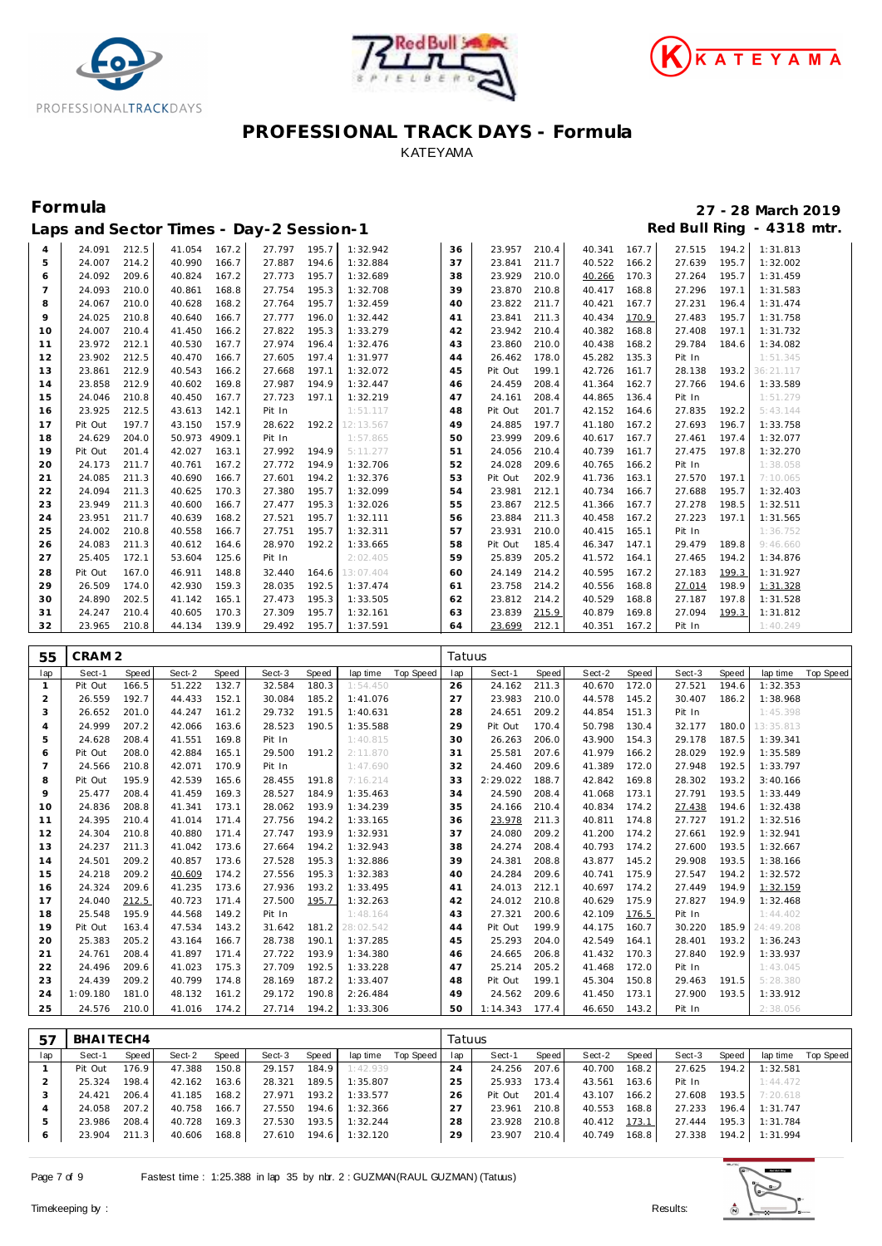





|    |         |       |        |        | Laps and Sector Times - Day-2 Session-1 |       |           |    |         |       |        |       |        |       | Red Bull Ring - 4318 mtr. |
|----|---------|-------|--------|--------|-----------------------------------------|-------|-----------|----|---------|-------|--------|-------|--------|-------|---------------------------|
| 4  | 24.091  | 212.5 | 41.054 | 167.2  | 27.797                                  | 195.7 | 1:32.942  | 36 | 23.957  | 210.4 | 40.341 | 167.7 | 27.515 | 194.2 | 1:31.813                  |
| 5  | 24.007  | 214.2 | 40.990 | 166.7  | 27.887                                  | 194.6 | 1:32.884  | 37 | 23.841  | 211.7 | 40.522 | 166.2 | 27.639 | 195.7 | 1:32.002                  |
| 6  | 24.092  | 209.6 | 40.824 | 167.2  | 27.773                                  | 195.7 | 1:32.689  | 38 | 23.929  | 210.0 | 40.266 | 170.3 | 27.264 | 195.7 | 1:31.459                  |
| 7  | 24.093  | 210.0 | 40.861 | 168.8  | 27.754                                  | 195.3 | 1:32.708  | 39 | 23.870  | 210.8 | 40.417 | 168.8 | 27.296 | 197.1 | 1:31.583                  |
| 8  | 24.067  | 210.0 | 40.628 | 168.2  | 27.764                                  | 195.7 | 1:32.459  | 40 | 23.822  | 211.7 | 40.421 | 167.7 | 27.231 | 196.4 | 1:31.474                  |
| 9  | 24.025  | 210.8 | 40.640 | 166.7  | 27.777                                  | 196.0 | 1:32.442  | 41 | 23.841  | 211.3 | 40.434 | 170.9 | 27.483 | 195.7 | 1:31.758                  |
| 10 | 24.007  | 210.4 | 41.450 | 166.2  | 27.822                                  | 195.3 | 1:33.279  | 42 | 23.942  | 210.4 | 40.382 | 168.8 | 27.408 | 197.1 | 1:31.732                  |
| 11 | 23.972  | 212.1 | 40.530 | 167.7  | 27.974                                  | 196.4 | 1:32.476  | 43 | 23.860  | 210.0 | 40.438 | 168.2 | 29.784 | 184.6 | 1:34.082                  |
| 12 | 23.902  | 212.5 | 40.470 | 166.7  | 27.605                                  | 197.4 | 1:31.977  | 44 | 26.462  | 178.0 | 45.282 | 135.3 | Pit In |       | 1:51.345                  |
| 13 | 23.861  | 212.9 | 40.543 | 166.2  | 27.668                                  | 197.1 | 1:32.072  | 45 | Pit Out | 199.1 | 42.726 | 161.7 | 28.138 | 193.2 | 36:21.117                 |
| 14 | 23.858  | 212.9 | 40.602 | 169.8  | 27.987                                  | 194.9 | 1:32.447  | 46 | 24.459  | 208.4 | 41.364 | 162.7 | 27.766 | 194.6 | 1:33.589                  |
| 15 | 24.046  | 210.8 | 40.450 | 167.7  | 27.723                                  | 197.1 | 1:32.219  | 47 | 24.161  | 208.4 | 44.865 | 136.4 | Pit In |       | 1:51.279                  |
| 16 | 23.925  | 212.5 | 43.613 | 142.1  | Pit In                                  |       | 1:51.117  | 48 | Pit Out | 201.7 | 42.152 | 164.6 | 27.835 | 192.2 | 5:43.144                  |
| 17 | Pit Out | 197.7 | 43.150 | 157.9  | 28.622                                  | 192.2 | 12:13.567 | 49 | 24.885  | 197.7 | 41.180 | 167.2 | 27.693 | 196.7 | 1:33.758                  |
| 18 | 24.629  | 204.0 | 50.973 | 4909.1 | Pit In                                  |       | 1:57.865  | 50 | 23.999  | 209.6 | 40.617 | 167.7 | 27.461 | 197.4 | 1:32.077                  |
| 19 | Pit Out | 201.4 | 42.027 | 163.1  | 27.992                                  | 194.9 | 5:11.277  | 51 | 24.056  | 210.4 | 40.739 | 161.7 | 27.475 | 197.8 | 1:32.270                  |
| 20 | 24.173  | 211.7 | 40.761 | 167.2  | 27.772                                  | 194.9 | 1:32.706  | 52 | 24.028  | 209.6 | 40.765 | 166.2 | Pit In |       | 1:38.058                  |
| 21 | 24.085  | 211.3 | 40.690 | 166.7  | 27.601                                  | 194.2 | 1:32.376  | 53 | Pit Out | 202.9 | 41.736 | 163.1 | 27.570 | 197.1 | 7:10.065                  |
| 22 | 24.094  | 211.3 | 40.625 | 170.3  | 27.380                                  | 195.7 | 1:32.099  | 54 | 23.981  | 212.1 | 40.734 | 166.7 | 27.688 | 195.7 | 1:32.403                  |
| 23 | 23.949  | 211.3 | 40.600 | 166.7  | 27.477                                  | 195.3 | 1:32.026  | 55 | 23.867  | 212.5 | 41.366 | 167.7 | 27.278 | 198.5 | 1:32.511                  |
| 24 | 23.951  | 211.7 | 40.639 | 168.2  | 27.521                                  | 195.7 | 1:32.111  | 56 | 23.884  | 211.3 | 40.458 | 167.2 | 27.223 | 197.1 | 1:31.565                  |
| 25 | 24.002  | 210.8 | 40.558 | 166.7  | 27.751                                  | 195.7 | 1:32.311  | 57 | 23.931  | 210.0 | 40.415 | 165.1 | Pit In |       | 1:36.752                  |
| 26 | 24.083  | 211.3 | 40.612 | 164.6  | 28.970                                  | 192.2 | 1:33.665  | 58 | Pit Out | 185.4 | 46.347 | 147.1 | 29.479 | 189.8 | 9:46.660                  |
| 27 | 25.405  | 172.1 | 53.604 | 125.6  | Pit In                                  |       | 2:02.405  | 59 | 25.839  | 205.2 | 41.572 | 164.1 | 27.465 | 194.2 | 1:34.876                  |
| 28 | Pit Out | 167.0 | 46.911 | 148.8  | 32.440                                  | 164.6 | 13:07.404 | 60 | 24.149  | 214.2 | 40.595 | 167.2 | 27.183 | 199.3 | 1:31.927                  |
| 29 | 26.509  | 174.0 | 42.930 | 159.3  | 28.035                                  | 192.5 | 1:37.474  | 61 | 23.758  | 214.2 | 40.556 | 168.8 | 27.014 | 198.9 | 1:31.328                  |
| 30 | 24.890  | 202.5 | 41.142 | 165.1  | 27.473                                  | 195.3 | 1:33.505  | 62 | 23.812  | 214.2 | 40.529 | 168.8 | 27.187 | 197.8 | 1:31.528                  |
| 31 | 24.247  | 210.4 | 40.605 | 170.3  | 27.309                                  | 195.7 | 1:32.161  | 63 | 23.839  | 215.9 | 40.879 | 169.8 | 27.094 | 199.3 | 1:31.812                  |
| 32 | 23.965  | 210.8 | 44.134 | 139.9  | 29.492                                  | 195.7 | 1:37.591  | 64 | 23.699  | 212.1 | 40.351 | 167.2 | Pit In |       | 1:40.249                  |

| 55             | CRAM <sub>2</sub> |       |        |       |        |       |           |           | Tatuus |          |       |        |       |        |       |           |           |
|----------------|-------------------|-------|--------|-------|--------|-------|-----------|-----------|--------|----------|-------|--------|-------|--------|-------|-----------|-----------|
| lap            | Sect-1            | Speed | Sect-2 | Speed | Sect-3 | Speed | lap time  | Top Speed | lap    | Sect-1   | Speed | Sect-2 | Speed | Sect-3 | Speed | lap time  | Top Speed |
| $\mathbf{1}$   | Pit Out           | 166.5 | 51.222 | 132.7 | 32.584 | 180.3 | 1:54.450  |           | 26     | 24.162   | 211.3 | 40.670 | 172.0 | 27.521 | 194.6 | 1:32.353  |           |
| $\overline{2}$ | 26.559            | 192.7 | 44.433 | 152.1 | 30.084 | 185.2 | 1:41.076  |           | 27     | 23.983   | 210.0 | 44.578 | 145.2 | 30.407 | 186.2 | 1:38.968  |           |
| 3              | 26.652            | 201.0 | 44.247 | 161.2 | 29.732 | 191.5 | 1:40.631  |           | 28     | 24.651   | 209.2 | 44.854 | 151.3 | Pit In |       | 1:45.398  |           |
| $\overline{4}$ | 24.999            | 207.2 | 42.066 | 163.6 | 28.523 | 190.5 | 1:35.588  |           | 29     | Pit Out  | 170.4 | 50.798 | 130.4 | 32.177 | 180.0 | 13:35.813 |           |
| 5              | 24.628            | 208.4 | 41.551 | 169.8 | Pit In |       | 1:40.815  |           | 30     | 26.263   | 206.0 | 43.900 | 154.3 | 29.178 | 187.5 | 1:39.341  |           |
| 6              | Pit Out           | 208.0 | 42.884 | 165.1 | 29.500 | 191.2 | 2:11.870  |           | 31     | 25.581   | 207.6 | 41.979 | 166.2 | 28.029 | 192.9 | 1:35.589  |           |
| $\overline{7}$ | 24.566            | 210.8 | 42.071 | 170.9 | Pit In |       | 1:47.690  |           | 32     | 24.460   | 209.6 | 41.389 | 172.0 | 27.948 | 192.5 | 1:33.797  |           |
| 8              | Pit Out           | 195.9 | 42.539 | 165.6 | 28.455 | 191.8 | 7:16.214  |           | 33     | 2:29.022 | 188.7 | 42.842 | 169.8 | 28.302 | 193.2 | 3:40.166  |           |
| 9              | 25.477            | 208.4 | 41.459 | 169.3 | 28.527 | 184.9 | 1:35.463  |           | 34     | 24.590   | 208.4 | 41.068 | 173.1 | 27.791 | 193.5 | 1:33.449  |           |
| 10             | 24.836            | 208.8 | 41.341 | 173.1 | 28.062 | 193.9 | 1:34.239  |           | 35     | 24.166   | 210.4 | 40.834 | 174.2 | 27.438 | 194.6 | 1:32.438  |           |
| 11             | 24.395            | 210.4 | 41.014 | 171.4 | 27.756 | 194.2 | 1:33.165  |           | 36     | 23.978   | 211.3 | 40.811 | 174.8 | 27.727 | 191.2 | 1:32.516  |           |
| 12             | 24.304            | 210.8 | 40.880 | 171.4 | 27.747 | 193.9 | 1:32.931  |           | 37     | 24.080   | 209.2 | 41.200 | 174.2 | 27.661 | 192.9 | 1:32.941  |           |
| 13             | 24.237            | 211.3 | 41.042 | 173.6 | 27.664 | 194.2 | 1:32.943  |           | 38     | 24.274   | 208.4 | 40.793 | 174.2 | 27.600 | 193.5 | 1:32.667  |           |
| 14             | 24.501            | 209.2 | 40.857 | 173.6 | 27.528 | 195.3 | 1:32.886  |           | 39     | 24.381   | 208.8 | 43.877 | 145.2 | 29.908 | 193.5 | 1:38.166  |           |
| 15             | 24.218            | 209.2 | 40.609 | 174.2 | 27.556 | 195.3 | 1:32.383  |           | 40     | 24.284   | 209.6 | 40.741 | 175.9 | 27.547 | 194.2 | 1:32.572  |           |
| 16             | 24.324            | 209.6 | 41.235 | 173.6 | 27.936 | 193.2 | 1:33.495  |           | 41     | 24.013   | 212.1 | 40.697 | 174.2 | 27.449 | 194.9 | 1:32.159  |           |
| 17             | 24.040            | 212.5 | 40.723 | 171.4 | 27.500 | 195.7 | 1:32.263  |           | 42     | 24.012   | 210.8 | 40.629 | 175.9 | 27.827 | 194.9 | 1:32.468  |           |
| 18             | 25.548            | 195.9 | 44.568 | 149.2 | Pit In |       | 1:48.164  |           | 43     | 27.321   | 200.6 | 42.109 | 176.5 | Pit In |       | 1:44.402  |           |
| 19             | Pit Out           | 163.4 | 47.534 | 143.2 | 31.642 | 181.2 | 28:02.542 |           | 44     | Pit Out  | 199.9 | 44.175 | 160.7 | 30.220 | 185.9 | 24:49.208 |           |
| 20             | 25.383            | 205.2 | 43.164 | 166.7 | 28.738 | 190.1 | 1:37.285  |           | 45     | 25.293   | 204.0 | 42.549 | 164.1 | 28.401 | 193.2 | 1:36.243  |           |
| 21             | 24.761            | 208.4 | 41.897 | 171.4 | 27.722 | 193.9 | 1:34.380  |           | 46     | 24.665   | 206.8 | 41.432 | 170.3 | 27.840 | 192.9 | 1:33.937  |           |
| 22             | 24.496            | 209.6 | 41.023 | 175.3 | 27.709 | 192.5 | 1:33.228  |           | 47     | 25.214   | 205.2 | 41.468 | 172.0 | Pit In |       | 1:43.045  |           |
| 23             | 24.439            | 209.2 | 40.799 | 174.8 | 28.169 | 187.2 | 1:33.407  |           | 48     | Pit Out  | 199.1 | 45.304 | 150.8 | 29.463 | 191.5 | 5:28.380  |           |
| 24             | 1:09.180          | 181.0 | 48.132 | 161.2 | 29.172 | 190.8 | 2:26.484  |           | 49     | 24.562   | 209.6 | 41.450 | 173.1 | 27.900 | 193.5 | 1:33.912  |           |
| 25             | 24.576            | 210.0 | 41.016 | 174.2 | 27.714 | 194.2 | 1:33.306  |           | 50     | 1:14.343 | 177.4 | 46.650 | 143.2 | Pit In |       | 2:38.056  |           |

| -57 | BHAITECH4 |       |        |       |        |       |          |           | Tatuus |         |       |        |       |        |       |          |           |
|-----|-----------|-------|--------|-------|--------|-------|----------|-----------|--------|---------|-------|--------|-------|--------|-------|----------|-----------|
| lap | Sect-1    | Speed | Sect-2 | Speed | Sect-3 | Speed | lap time | Top Speed | lap    | Sect-1  | Speed | Sect-2 | Speed | Sect-3 | Speed | lap time | Top Speed |
|     | Pit Out   | 176.9 | 47.388 | 150.8 | 29.157 | 184.9 | 1:42.939 |           | 24     | 24.256  | 207.6 | 40.700 | 168.2 | 27.625 | 194.2 | 1:32.581 |           |
|     | 25.324    | 198.4 | 42.162 | 163.6 | 28.321 | 189.5 | 1:35.807 |           | 25     | 25.933  | 173.4 | 43.561 | 163.6 | Pit In |       | 1:44.472 |           |
|     | 24.421    | 206.4 | 41.185 | 168.2 | 27.971 | 193.2 | 1:33.577 |           | 26     | Pit Out | 201.4 | 43.107 | 166.2 | 27.608 | 193.5 | 7:20.618 |           |
|     | 24.058    | 207.2 | 40.758 | 166.7 | 27.550 | 194.6 | 1:32.366 |           | 27     | 23.961  | 210.8 | 40.553 | 168.8 | 27.233 | 196.4 | 1:31.747 |           |
| ь   | 23.986    | 208.4 | 40.728 | 169.3 | 27.530 | 193.5 | 1:32.244 |           | 28     | 23.928  | 210.8 | 40.412 | 173.1 | 27.444 | 195.3 | 1:31.784 |           |
| 6   | 23.904    | 211.3 | 40.606 | 168.8 | 27.610 | 194.6 | 1:32.120 |           | 29     | 23.907  | 210.4 | 40.749 | 168.8 | 27.338 | 194.2 | 1:31.994 |           |

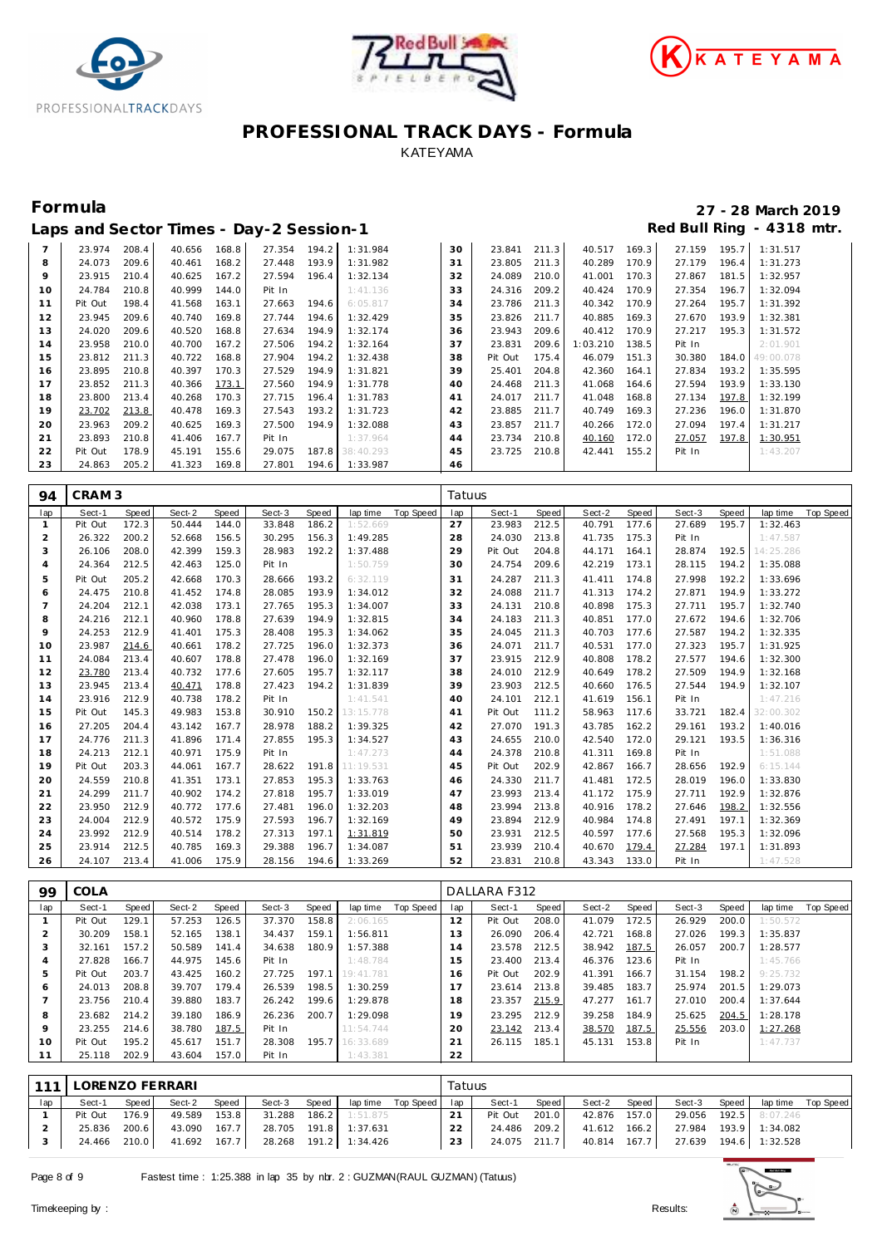





|    | Laps and Sector Times - Day-2 Session-1 |       |        |       |        |       |           |    |         |       |          |       |        |       | Red Bull Ring - 4318 mtr. |
|----|-----------------------------------------|-------|--------|-------|--------|-------|-----------|----|---------|-------|----------|-------|--------|-------|---------------------------|
|    | 23.974                                  | 208.4 | 40.656 | 168.8 | 27.354 | 194.2 | 1:31.984  | 30 | 23.841  | 211.3 | 40.517   | 169.3 | 27.159 | 195.7 | 1:31.517                  |
| 8  | 24.073                                  | 209.6 | 40.461 | 168.2 | 27.448 | 193.9 | 1:31.982  | 31 | 23.805  | 211.3 | 40.289   | 170.9 | 27.179 | 196.4 | 1:31.273                  |
| 9  | 23.915                                  | 210.4 | 40.625 | 167.2 | 27.594 | 196.4 | 1:32.134  | 32 | 24.089  | 210.0 | 41.001   | 170.3 | 27.867 | 181.5 | 1:32.957                  |
| 10 | 24.784                                  | 210.8 | 40.999 | 144.0 | Pit In |       | 1:41.136  | 33 | 24.316  | 209.2 | 40.424   | 170.9 | 27.354 | 196.7 | 1:32.094                  |
| 11 | Pit Out                                 | 198.4 | 41.568 | 163.1 | 27.663 | 194.6 | 6:05.817  | 34 | 23.786  | 211.3 | 40.342   | 170.9 | 27.264 | 195.7 | 1:31.392                  |
| 12 | 23.945                                  | 209.6 | 40.740 | 169.8 | 27.744 | 194.6 | 1:32.429  | 35 | 23.826  | 211.7 | 40.885   | 169.3 | 27.670 | 193.9 | 1:32.381                  |
| 13 | 24.020                                  | 209.6 | 40.520 | 168.8 | 27.634 | 194.9 | 1:32.174  | 36 | 23.943  | 209.6 | 40.412   | 170.9 | 27.217 | 195.3 | 1:31.572                  |
| 14 | 23.958                                  | 210.0 | 40.700 | 167.2 | 27.506 | 194.2 | 1:32.164  | 37 | 23.831  | 209.6 | 1:03.210 | 138.5 | Pit In |       | 2:01.901                  |
| 15 | 23.812                                  | 211.3 | 40.722 | 168.8 | 27.904 | 194.2 | 1:32.438  | 38 | Pit Out | 175.4 | 46.079   | 151.3 | 30.380 | 184.0 | 49:00.078                 |
| 16 | 23.895                                  | 210.8 | 40.397 | 170.3 | 27.529 | 194.9 | 1:31.821  | 39 | 25.401  | 204.8 | 42.360   | 164.1 | 27.834 | 193.2 | 1:35.595                  |
| 17 | 23.852                                  | 211.3 | 40.366 | 173.1 | 27.560 | 194.9 | 1:31.778  | 40 | 24.468  | 211.3 | 41.068   | 164.6 | 27.594 | 193.9 | 1:33.130                  |
| 18 | 23.800                                  | 213.4 | 40.268 | 170.3 | 27.715 | 196.4 | 1:31.783  | 41 | 24.017  | 211.7 | 41.048   | 168.8 | 27.134 | 197.8 | 1:32.199                  |
| 19 | 23.702                                  | 213.8 | 40.478 | 169.3 | 27.543 | 193.2 | 1:31.723  | 42 | 23.885  | 211.7 | 40.749   | 169.3 | 27.236 | 196.0 | 1:31.870                  |
| 20 | 23.963                                  | 209.2 | 40.625 | 169.3 | 27.500 | 194.9 | 1:32.088  | 43 | 23.857  | 211.7 | 40.266   | 172.0 | 27.094 | 197.4 | 1:31.217                  |
| 21 | 23.893                                  | 210.8 | 41.406 | 167.7 | Pit In |       | 1:37.964  | 44 | 23.734  | 210.8 | 40.160   | 172.0 | 27.057 | 197.8 | 1:30.951                  |
| 22 | Pit Out                                 | 178.9 | 45.191 | 155.6 | 29.075 | 187.8 | 38:40.293 | 45 | 23.725  | 210.8 | 42.441   | 155.2 | Pit In |       | 1:43.207                  |
| 23 | 24.863                                  | 205.2 | 41.323 | 169.8 | 27.801 | 194.6 | 1:33.987  | 46 |         |       |          |       |        |       |                           |

| 94             | CRAM <sub>3</sub> |       |        |              |        |       |           |                  | Tatuus |         |       |        |       |        |       |           |                  |
|----------------|-------------------|-------|--------|--------------|--------|-------|-----------|------------------|--------|---------|-------|--------|-------|--------|-------|-----------|------------------|
| lap            | Sect-1            | Speed | Sect-2 | <b>Speed</b> | Sect-3 | Speed | lap time  | <b>Top Speed</b> | lap    | Sect-1  | Speed | Sect-2 | Speed | Sect-3 | Speed | lap time  | <b>Top Speed</b> |
| 1              | Pit Out           | 172.3 | 50.444 | 144.0        | 33.848 | 186.2 | 1:52.669  |                  | 27     | 23.983  | 212.5 | 40.791 | 177.6 | 27.689 | 195.7 | 1:32.463  |                  |
| $\overline{2}$ | 26.322            | 200.2 | 52.668 | 156.5        | 30.295 | 156.3 | 1:49.285  |                  | 28     | 24.030  | 213.8 | 41.735 | 175.3 | Pit In |       | 1:47.587  |                  |
| 3              | 26.106            | 208.0 | 42.399 | 159.3        | 28.983 | 192.2 | 1:37.488  |                  | 29     | Pit Out | 204.8 | 44.171 | 164.1 | 28.874 | 192.5 | 14:25.286 |                  |
| 4              | 24.364            | 212.5 | 42.463 | 125.0        | Pit In |       | 1:50.759  |                  | 30     | 24.754  | 209.6 | 42.219 | 173.1 | 28.115 | 194.2 | 1:35.088  |                  |
| 5              | Pit Out           | 205.2 | 42.668 | 170.3        | 28.666 | 193.2 | 6:32.119  |                  | 31     | 24.287  | 211.3 | 41.411 | 174.8 | 27.998 | 192.2 | 1:33.696  |                  |
| 6              | 24.475            | 210.8 | 41.452 | 174.8        | 28.085 | 193.9 | 1:34.012  |                  | 32     | 24.088  | 211.7 | 41.313 | 174.2 | 27.871 | 194.9 | 1:33.272  |                  |
| 7              | 24.204            | 212.1 | 42.038 | 173.1        | 27.765 | 195.3 | 1:34.007  |                  | 33     | 24.131  | 210.8 | 40.898 | 175.3 | 27.711 | 195.7 | 1:32.740  |                  |
| 8              | 24.216            | 212.1 | 40.960 | 178.8        | 27.639 | 194.9 | 1:32.815  |                  | 34     | 24.183  | 211.3 | 40.851 | 177.0 | 27.672 | 194.6 | 1:32.706  |                  |
| 9              | 24.253            | 212.9 | 41.401 | 175.3        | 28.408 | 195.3 | 1:34.062  |                  | 35     | 24.045  | 211.3 | 40.703 | 177.6 | 27.587 | 194.2 | 1:32.335  |                  |
| 10             | 23.987            | 214.6 | 40.661 | 178.2        | 27.725 | 196.0 | 1:32.373  |                  | 36     | 24.071  | 211.7 | 40.531 | 177.0 | 27.323 | 195.7 | 1:31.925  |                  |
| 11             | 24.084            | 213.4 | 40.607 | 178.8        | 27.478 | 196.0 | 1:32.169  |                  | 37     | 23.915  | 212.9 | 40.808 | 178.2 | 27.577 | 194.6 | 1:32.300  |                  |
| 12             | 23.780            | 213.4 | 40.732 | 177.6        | 27.605 | 195.7 | 1:32.117  |                  | 38     | 24.010  | 212.9 | 40.649 | 178.2 | 27.509 | 194.9 | 1:32.168  |                  |
| 13             | 23.945            | 213.4 | 40.471 | 178.8        | 27.423 | 194.2 | 1:31.839  |                  | 39     | 23.903  | 212.5 | 40.660 | 176.5 | 27.544 | 194.9 | 1:32.107  |                  |
| 14             | 23.916            | 212.9 | 40.738 | 178.2        | Pit In |       | 1:41.541  |                  | 40     | 24.101  | 212.1 | 41.619 | 156.1 | Pit In |       | 1:47.216  |                  |
| 15             | Pit Out           | 145.3 | 49.983 | 153.8        | 30.910 | 150.2 | 13:15.778 |                  | 41     | Pit Out | 111.2 | 58.963 | 117.6 | 33.721 | 182.4 | 32:00.302 |                  |
| 16             | 27.205            | 204.4 | 43.142 | 167.7        | 28.978 | 188.2 | 1:39.325  |                  | 42     | 27.070  | 191.3 | 43.785 | 162.2 | 29.161 | 193.2 | 1:40.016  |                  |
| 17             | 24.776            | 211.3 | 41.896 | 171.4        | 27.855 | 195.3 | 1:34.527  |                  | 43     | 24.655  | 210.0 | 42.540 | 172.0 | 29.121 | 193.5 | 1:36.316  |                  |
| 18             | 24.213            | 212.1 | 40.971 | 175.9        | Pit In |       | 1:47.273  |                  | 44     | 24.378  | 210.8 | 41.311 | 169.8 | Pit In |       | 1:51.088  |                  |
| 19             | Pit Out           | 203.3 | 44.061 | 167.7        | 28.622 | 191.8 | 11:19.531 |                  | 45     | Pit Out | 202.9 | 42.867 | 166.7 | 28.656 | 192.9 | 6:15.144  |                  |
| 20             | 24.559            | 210.8 | 41.351 | 173.1        | 27.853 | 195.3 | 1:33.763  |                  | 46     | 24.330  | 211.7 | 41.481 | 172.5 | 28.019 | 196.0 | 1:33.830  |                  |
| 21             | 24.299            | 211.7 | 40.902 | 174.2        | 27.818 | 195.7 | 1:33.019  |                  | 47     | 23.993  | 213.4 | 41.172 | 175.9 | 27.711 | 192.9 | 1:32.876  |                  |
| 22             | 23.950            | 212.9 | 40.772 | 177.6        | 27.481 | 196.0 | 1:32.203  |                  | 48     | 23.994  | 213.8 | 40.916 | 178.2 | 27.646 | 198.2 | 1:32.556  |                  |
| 23             | 24.004            | 212.9 | 40.572 | 175.9        | 27.593 | 196.7 | 1:32.169  |                  | 49     | 23.894  | 212.9 | 40.984 | 174.8 | 27.491 | 197.1 | 1:32.369  |                  |
| 24             | 23.992            | 212.9 | 40.514 | 178.2        | 27.313 | 197.1 | 1:31.819  |                  | 50     | 23.931  | 212.5 | 40.597 | 177.6 | 27.568 | 195.3 | 1:32.096  |                  |
| 25             | 23.914            | 212.5 | 40.785 | 169.3        | 29.388 | 196.7 | 1:34.087  |                  | 51     | 23.939  | 210.4 | 40.670 | 179.4 | 27.284 | 197.1 | 1:31.893  |                  |
| 26             | 24.107            | 213.4 | 41.006 | 175.9        | 28.156 | 194.6 | 1:33.269  |                  | 52     | 23.831  | 210.8 | 43.343 | 133.0 | Pit In |       | 1:47.528  |                  |

| 99           | COLA    |       |        |       |        |       |                 |           |     | DALLARA F312 |       |        |       |        |       |          |           |
|--------------|---------|-------|--------|-------|--------|-------|-----------------|-----------|-----|--------------|-------|--------|-------|--------|-------|----------|-----------|
| lap          | Sect-1  | Speed | Sect-2 | Speed | Sect-3 | Speed | lap time        | Top Speed | lap | Sect-1       | Speed | Sect-2 | Speed | Sect-3 | Speed | lap time | Top Speed |
|              | Pit Out | 129.1 | 57.253 | 126.5 | 37.370 | 158.8 | 2:06.165        |           | 12  | Pit Out      | 208.0 | 41.079 | 172.5 | 26.929 | 200.0 | 1:50.572 |           |
|              | 30.209  | 158.1 | 52.165 | 138.1 | 34.437 | 159.1 | 1:56.811        |           | 13  | 26.090       | 206.4 | 42.721 | 168.8 | 27.026 | 199.3 | 1:35.837 |           |
| 3            | 32.161  | 157.2 | 50.589 | 141.4 | 34.638 | 180.9 | 1:57.388        |           | 14  | 23.578       | 212.5 | 38.942 | 187.5 | 26.057 | 200.7 | 1:28.577 |           |
|              | 27.828  | 166.7 | 44.975 | 145.6 | Pit In |       | 1:48.784        |           | 15  | 23.400       | 213.4 | 46.376 | 123.6 | Pit In |       | 1:45.766 |           |
| 5            | Pit Out | 203.7 | 43.425 | 160.2 | 27.725 | 197.1 | 19:41.781       |           | 16  | Pit Out      | 202.9 | 41.391 | 166.7 | 31.154 | 198.2 | 9:25.732 |           |
| <sup>6</sup> | 24.013  | 208.8 | 39.707 | 179.4 | 26.539 | 198.5 | 1:30.259        |           |     | 23.614       | 213.8 | 39.485 | 183.7 | 25.974 | 201.5 | 1:29.073 |           |
|              | 23.756  | 210.4 | 39.880 | 183.7 | 26.242 | 199.6 | 1:29.878        |           | 18  | 23.357       | 215.9 | 47.277 | 161.7 | 27.010 | 200.4 | 1:37.644 |           |
| 8            | 23.682  | 214.2 | 39.180 | 186.9 | 26.236 | 200.7 | 1:29.098        |           | 19  | 23.295       | 212.9 | 39.258 | 184.9 | 25.625 | 204.5 | 1:28.178 |           |
| $\circ$      | 23.255  | 214.6 | 38.780 | 187.5 | Pit In |       | 11:54.744       |           | 20  | 23.142       | 213.4 | 38.570 | 187.5 | 25.556 | 203.0 | 1:27.268 |           |
| 10           | Pit Out | 195.2 | 45.617 | 151.7 | 28.308 |       | 195.7 16:33.689 |           | 21  | 26.115       | 185.1 | 45.131 | 153.8 | Pit In |       | 1:47.737 |           |
|              | 25.118  | 202.9 | 43.604 | 157.0 | Pit In |       | 1:43.381        |           | 22  |              |       |        |       |        |       |          |           |
|              |         |       |        |       |        |       |                 |           |     |              |       |        |       |        |       |          |           |

|     | 111   LORENZO FERRARI |              |              |       |                                    |       |                       |                        | Tatuus       |              |       |              |       |        |       |                       |           |
|-----|-----------------------|--------------|--------------|-------|------------------------------------|-------|-----------------------|------------------------|--------------|--------------|-------|--------------|-------|--------|-------|-----------------------|-----------|
| lap | Sect-1                | Speed        | Sect-2       | Speed | Sect-3                             | Speed |                       | laptime Top Speed I ap |              | Sect-1       | Speed | Sect-2       | Speed | Sect-3 | Speed | lap time              | Top Speed |
|     | Pit Out               | 176.91       | 49.589       | 153.8 |                                    |       | 31.288 186.2 1:51.875 |                        | 21           | Pit Out      | 201.0 | 42.876 157.0 |       |        |       | 29.056 192.5 8:07.246 |           |
|     | 25.836                | 200.6        | 43.090 167.7 |       | 28.705 191.8 1:37.631              |       |                       |                        | $22^{\circ}$ | 24.486       | 209.2 | 41.612 166.2 |       |        |       | 27.984 193.9 1:34.082 |           |
|     |                       | 24.466 210.0 |              |       | 41.692 167.7 28.268 191.2 1:34.426 |       |                       |                        | 23           | 24.075 211.7 |       | 40.814 167.7 |       |        |       | 27.639 194.6 1:32.528 |           |